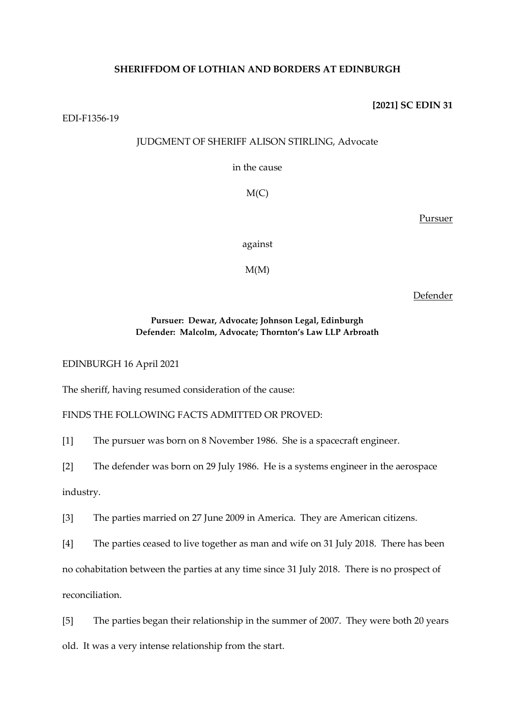# **SHERIFFDOM OF LOTHIAN AND BORDERS AT EDINBURGH**

#### **[2021] SC EDIN 31**

EDI-F1356-19

# JUDGMENT OF SHERIFF ALISON STIRLING, Advocate

in the cause

 $M(C)$ 

Pursuer

against

 $M(M)$ 

Defender

# **Pursuer: Dewar, Advocate; Johnson Legal, Edinburgh Defender: Malcolm, Advocate; Thornton's Law LLP Arbroath**

EDINBURGH 16 April 2021

The sheriff, having resumed consideration of the cause:

FINDS THE FOLLOWING FACTS ADMITTED OR PROVED:

[1] The pursuer was born on 8 November 1986. She is a spacecraft engineer.

[2] The defender was born on 29 July 1986. He is a systems engineer in the aerospace industry.

[3] The parties married on 27 June 2009 in America. They are American citizens.

[4] The parties ceased to live together as man and wife on 31 July 2018. There has been

no cohabitation between the parties at any time since 31 July 2018. There is no prospect of

reconciliation.

[5] The parties began their relationship in the summer of 2007. They were both 20 years

old. It was a very intense relationship from the start.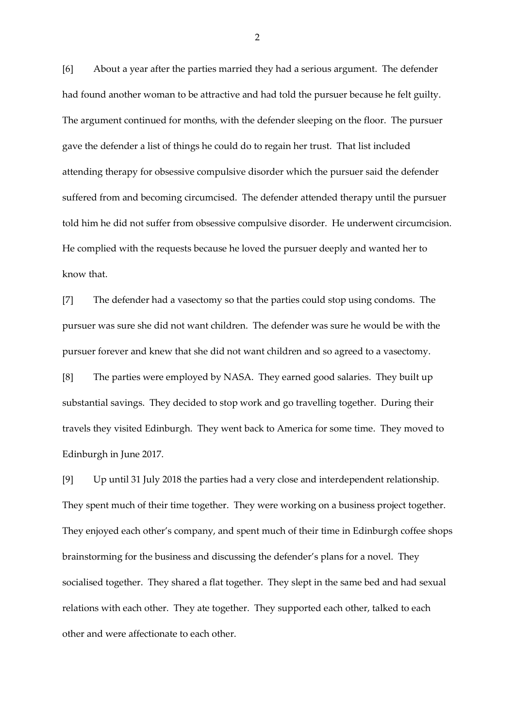[6] About a year after the parties married they had a serious argument. The defender had found another woman to be attractive and had told the pursuer because he felt guilty. The argument continued for months, with the defender sleeping on the floor. The pursuer gave the defender a list of things he could do to regain her trust. That list included attending therapy for obsessive compulsive disorder which the pursuer said the defender suffered from and becoming circumcised. The defender attended therapy until the pursuer told him he did not suffer from obsessive compulsive disorder. He underwent circumcision. He complied with the requests because he loved the pursuer deeply and wanted her to know that.

[7] The defender had a vasectomy so that the parties could stop using condoms. The pursuer was sure she did not want children. The defender was sure he would be with the pursuer forever and knew that she did not want children and so agreed to a vasectomy.

[8] The parties were employed by NASA. They earned good salaries. They built up substantial savings. They decided to stop work and go travelling together. During their travels they visited Edinburgh. They went back to America for some time. They moved to Edinburgh in June 2017.

[9] Up until 31 July 2018 the parties had a very close and interdependent relationship. They spent much of their time together. They were working on a business project together. They enjoyed each other's company, and spent much of their time in Edinburgh coffee shops brainstorming for the business and discussing the defender's plans for a novel. They socialised together. They shared a flat together. They slept in the same bed and had sexual relations with each other. They ate together. They supported each other, talked to each other and were affectionate to each other.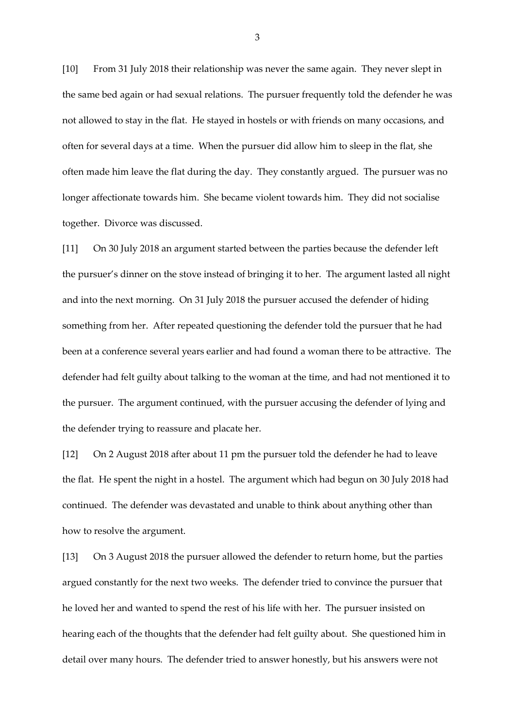[10] From 31 July 2018 their relationship was never the same again. They never slept in the same bed again or had sexual relations. The pursuer frequently told the defender he was not allowed to stay in the flat. He stayed in hostels or with friends on many occasions, and often for several days at a time. When the pursuer did allow him to sleep in the flat, she often made him leave the flat during the day. They constantly argued. The pursuer was no longer affectionate towards him. She became violent towards him. They did not socialise together. Divorce was discussed.

[11] On 30 July 2018 an argument started between the parties because the defender left the pursuer's dinner on the stove instead of bringing it to her. The argument lasted all night and into the next morning. On 31 July 2018 the pursuer accused the defender of hiding something from her. After repeated questioning the defender told the pursuer that he had been at a conference several years earlier and had found a woman there to be attractive. The defender had felt guilty about talking to the woman at the time, and had not mentioned it to the pursuer. The argument continued, with the pursuer accusing the defender of lying and the defender trying to reassure and placate her.

[12] On 2 August 2018 after about 11 pm the pursuer told the defender he had to leave the flat. He spent the night in a hostel. The argument which had begun on 30 July 2018 had continued. The defender was devastated and unable to think about anything other than how to resolve the argument.

[13] On 3 August 2018 the pursuer allowed the defender to return home, but the parties argued constantly for the next two weeks. The defender tried to convince the pursuer that he loved her and wanted to spend the rest of his life with her. The pursuer insisted on hearing each of the thoughts that the defender had felt guilty about. She questioned him in detail over many hours. The defender tried to answer honestly, but his answers were not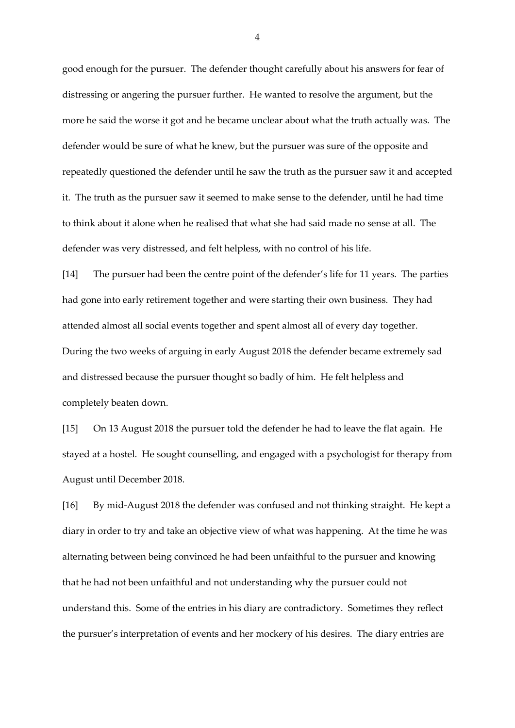good enough for the pursuer. The defender thought carefully about his answers for fear of distressing or angering the pursuer further. He wanted to resolve the argument, but the more he said the worse it got and he became unclear about what the truth actually was. The defender would be sure of what he knew, but the pursuer was sure of the opposite and repeatedly questioned the defender until he saw the truth as the pursuer saw it and accepted it. The truth as the pursuer saw it seemed to make sense to the defender, until he had time to think about it alone when he realised that what she had said made no sense at all. The defender was very distressed, and felt helpless, with no control of his life.

[14] The pursuer had been the centre point of the defender's life for 11 years. The parties had gone into early retirement together and were starting their own business. They had attended almost all social events together and spent almost all of every day together. During the two weeks of arguing in early August 2018 the defender became extremely sad and distressed because the pursuer thought so badly of him. He felt helpless and completely beaten down.

[15] On 13 August 2018 the pursuer told the defender he had to leave the flat again. He stayed at a hostel. He sought counselling, and engaged with a psychologist for therapy from August until December 2018.

[16] By mid-August 2018 the defender was confused and not thinking straight. He kept a diary in order to try and take an objective view of what was happening. At the time he was alternating between being convinced he had been unfaithful to the pursuer and knowing that he had not been unfaithful and not understanding why the pursuer could not understand this. Some of the entries in his diary are contradictory. Sometimes they reflect the pursuer's interpretation of events and her mockery of his desires. The diary entries are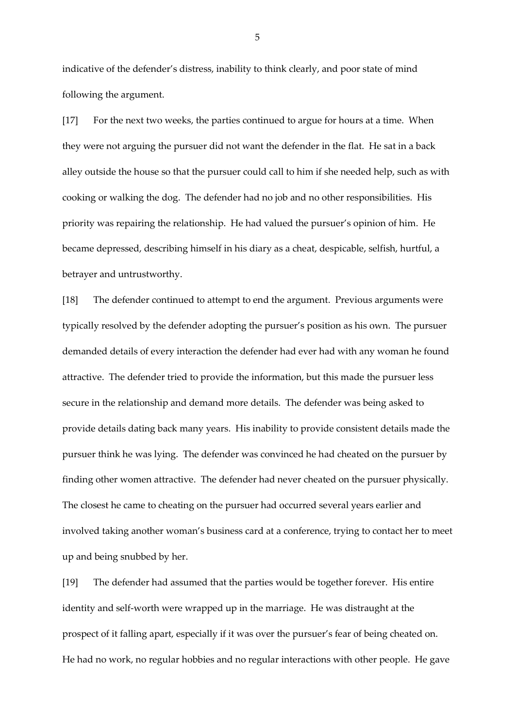indicative of the defender's distress, inability to think clearly, and poor state of mind following the argument.

[17] For the next two weeks, the parties continued to argue for hours at a time. When they were not arguing the pursuer did not want the defender in the flat. He sat in a back alley outside the house so that the pursuer could call to him if she needed help, such as with cooking or walking the dog. The defender had no job and no other responsibilities. His priority was repairing the relationship. He had valued the pursuer's opinion of him. He became depressed, describing himself in his diary as a cheat, despicable, selfish, hurtful, a betrayer and untrustworthy.

[18] The defender continued to attempt to end the argument. Previous arguments were typically resolved by the defender adopting the pursuer's position as his own. The pursuer demanded details of every interaction the defender had ever had with any woman he found attractive. The defender tried to provide the information, but this made the pursuer less secure in the relationship and demand more details. The defender was being asked to provide details dating back many years. His inability to provide consistent details made the pursuer think he was lying. The defender was convinced he had cheated on the pursuer by finding other women attractive. The defender had never cheated on the pursuer physically. The closest he came to cheating on the pursuer had occurred several years earlier and involved taking another woman's business card at a conference, trying to contact her to meet up and being snubbed by her.

[19] The defender had assumed that the parties would be together forever. His entire identity and self-worth were wrapped up in the marriage. He was distraught at the prospect of it falling apart, especially if it was over the pursuer's fear of being cheated on. He had no work, no regular hobbies and no regular interactions with other people. He gave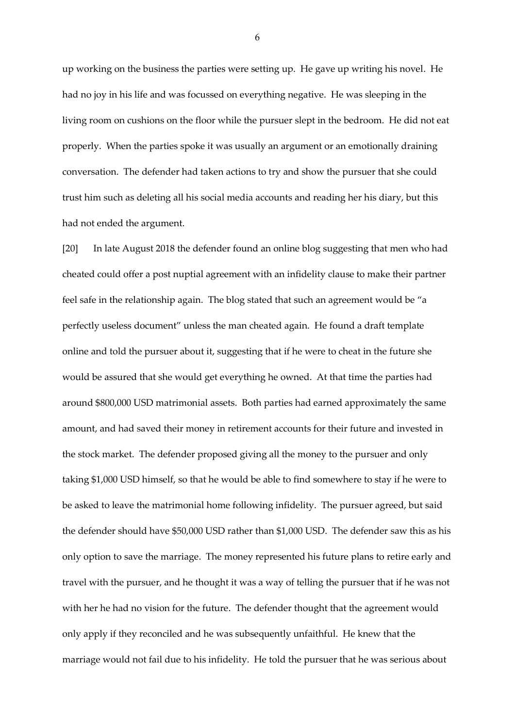up working on the business the parties were setting up. He gave up writing his novel. He had no joy in his life and was focussed on everything negative. He was sleeping in the living room on cushions on the floor while the pursuer slept in the bedroom. He did not eat properly. When the parties spoke it was usually an argument or an emotionally draining conversation. The defender had taken actions to try and show the pursuer that she could trust him such as deleting all his social media accounts and reading her his diary, but this had not ended the argument.

[20] In late August 2018 the defender found an online blog suggesting that men who had cheated could offer a post nuptial agreement with an infidelity clause to make their partner feel safe in the relationship again. The blog stated that such an agreement would be "a perfectly useless document" unless the man cheated again. He found a draft template online and told the pursuer about it, suggesting that if he were to cheat in the future she would be assured that she would get everything he owned. At that time the parties had around \$800,000 USD matrimonial assets. Both parties had earned approximately the same amount, and had saved their money in retirement accounts for their future and invested in the stock market. The defender proposed giving all the money to the pursuer and only taking \$1,000 USD himself, so that he would be able to find somewhere to stay if he were to be asked to leave the matrimonial home following infidelity. The pursuer agreed, but said the defender should have \$50,000 USD rather than \$1,000 USD. The defender saw this as his only option to save the marriage. The money represented his future plans to retire early and travel with the pursuer, and he thought it was a way of telling the pursuer that if he was not with her he had no vision for the future. The defender thought that the agreement would only apply if they reconciled and he was subsequently unfaithful. He knew that the marriage would not fail due to his infidelity. He told the pursuer that he was serious about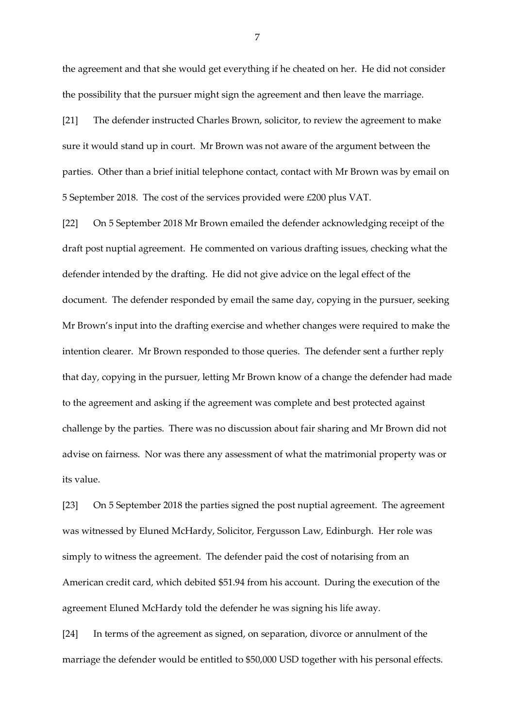the agreement and that she would get everything if he cheated on her. He did not consider the possibility that the pursuer might sign the agreement and then leave the marriage.

[21] The defender instructed Charles Brown, solicitor, to review the agreement to make sure it would stand up in court. Mr Brown was not aware of the argument between the parties. Other than a brief initial telephone contact, contact with Mr Brown was by email on 5 September 2018. The cost of the services provided were £200 plus VAT.

[22] On 5 September 2018 Mr Brown emailed the defender acknowledging receipt of the draft post nuptial agreement. He commented on various drafting issues, checking what the defender intended by the drafting. He did not give advice on the legal effect of the document. The defender responded by email the same day, copying in the pursuer, seeking Mr Brown's input into the drafting exercise and whether changes were required to make the intention clearer. Mr Brown responded to those queries. The defender sent a further reply that day, copying in the pursuer, letting Mr Brown know of a change the defender had made to the agreement and asking if the agreement was complete and best protected against challenge by the parties. There was no discussion about fair sharing and Mr Brown did not advise on fairness. Nor was there any assessment of what the matrimonial property was or its value.

[23] On 5 September 2018 the parties signed the post nuptial agreement. The agreement was witnessed by Eluned McHardy, Solicitor, Fergusson Law, Edinburgh. Her role was simply to witness the agreement. The defender paid the cost of notarising from an American credit card, which debited \$51.94 from his account. During the execution of the agreement Eluned McHardy told the defender he was signing his life away.

[24] In terms of the agreement as signed, on separation, divorce or annulment of the marriage the defender would be entitled to \$50,000 USD together with his personal effects.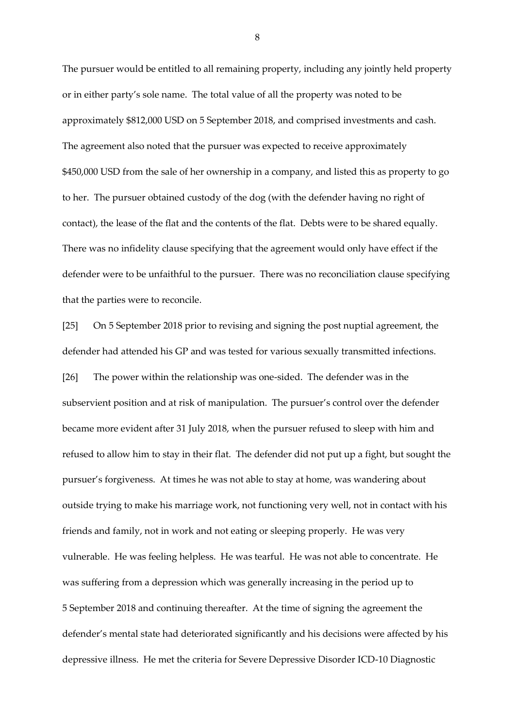The pursuer would be entitled to all remaining property, including any jointly held property or in either party's sole name. The total value of all the property was noted to be approximately \$812,000 USD on 5 September 2018, and comprised investments and cash. The agreement also noted that the pursuer was expected to receive approximately \$450,000 USD from the sale of her ownership in a company, and listed this as property to go to her. The pursuer obtained custody of the dog (with the defender having no right of contact), the lease of the flat and the contents of the flat. Debts were to be shared equally. There was no infidelity clause specifying that the agreement would only have effect if the defender were to be unfaithful to the pursuer. There was no reconciliation clause specifying that the parties were to reconcile.

[25] On 5 September 2018 prior to revising and signing the post nuptial agreement, the defender had attended his GP and was tested for various sexually transmitted infections. [26] The power within the relationship was one-sided. The defender was in the subservient position and at risk of manipulation. The pursuer's control over the defender became more evident after 31 July 2018, when the pursuer refused to sleep with him and refused to allow him to stay in their flat. The defender did not put up a fight, but sought the pursuer's forgiveness. At times he was not able to stay at home, was wandering about outside trying to make his marriage work, not functioning very well, not in contact with his friends and family, not in work and not eating or sleeping properly. He was very vulnerable. He was feeling helpless. He was tearful. He was not able to concentrate. He was suffering from a depression which was generally increasing in the period up to 5 September 2018 and continuing thereafter. At the time of signing the agreement the defender's mental state had deteriorated significantly and his decisions were affected by his depressive illness. He met the criteria for Severe Depressive Disorder ICD-10 Diagnostic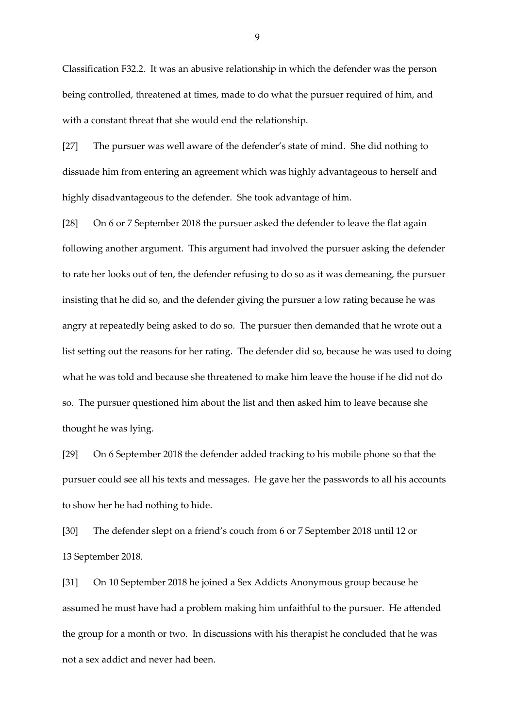Classification F32.2. It was an abusive relationship in which the defender was the person being controlled, threatened at times, made to do what the pursuer required of him, and with a constant threat that she would end the relationship.

[27] The pursuer was well aware of the defender's state of mind. She did nothing to dissuade him from entering an agreement which was highly advantageous to herself and highly disadvantageous to the defender. She took advantage of him.

[28] On 6 or 7 September 2018 the pursuer asked the defender to leave the flat again following another argument. This argument had involved the pursuer asking the defender to rate her looks out of ten, the defender refusing to do so as it was demeaning, the pursuer insisting that he did so, and the defender giving the pursuer a low rating because he was angry at repeatedly being asked to do so. The pursuer then demanded that he wrote out a list setting out the reasons for her rating. The defender did so, because he was used to doing what he was told and because she threatened to make him leave the house if he did not do so. The pursuer questioned him about the list and then asked him to leave because she thought he was lying.

[29] On 6 September 2018 the defender added tracking to his mobile phone so that the pursuer could see all his texts and messages. He gave her the passwords to all his accounts to show her he had nothing to hide.

[30] The defender slept on a friend's couch from 6 or 7 September 2018 until 12 or 13 September 2018.

[31] On 10 September 2018 he joined a Sex Addicts Anonymous group because he assumed he must have had a problem making him unfaithful to the pursuer. He attended the group for a month or two. In discussions with his therapist he concluded that he was not a sex addict and never had been.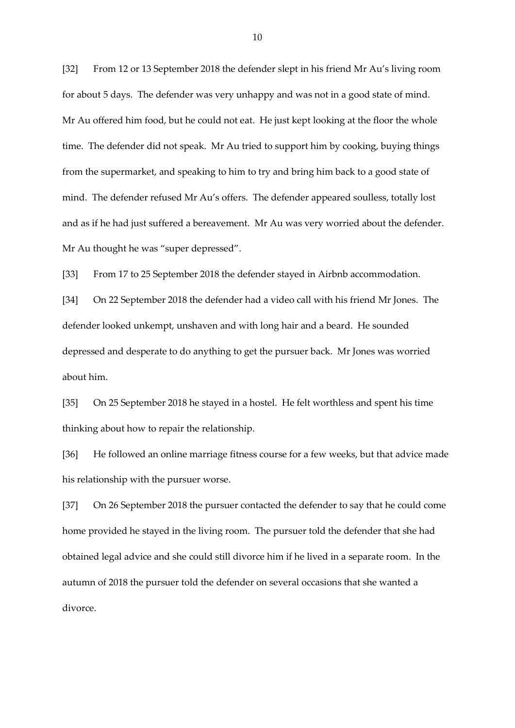[32] From 12 or 13 September 2018 the defender slept in his friend Mr Au's living room for about 5 days. The defender was very unhappy and was not in a good state of mind. Mr Au offered him food, but he could not eat. He just kept looking at the floor the whole time. The defender did not speak. Mr Au tried to support him by cooking, buying things from the supermarket, and speaking to him to try and bring him back to a good state of mind. The defender refused Mr Au's offers. The defender appeared soulless, totally lost and as if he had just suffered a bereavement. Mr Au was very worried about the defender. Mr Au thought he was "super depressed".

[33] From 17 to 25 September 2018 the defender stayed in Airbnb accommodation.

[34] On 22 September 2018 the defender had a video call with his friend Mr Jones. The defender looked unkempt, unshaven and with long hair and a beard. He sounded depressed and desperate to do anything to get the pursuer back. Mr Jones was worried about him.

[35] On 25 September 2018 he stayed in a hostel. He felt worthless and spent his time thinking about how to repair the relationship.

[36] He followed an online marriage fitness course for a few weeks, but that advice made his relationship with the pursuer worse.

[37] On 26 September 2018 the pursuer contacted the defender to say that he could come home provided he stayed in the living room. The pursuer told the defender that she had obtained legal advice and she could still divorce him if he lived in a separate room. In the autumn of 2018 the pursuer told the defender on several occasions that she wanted a divorce.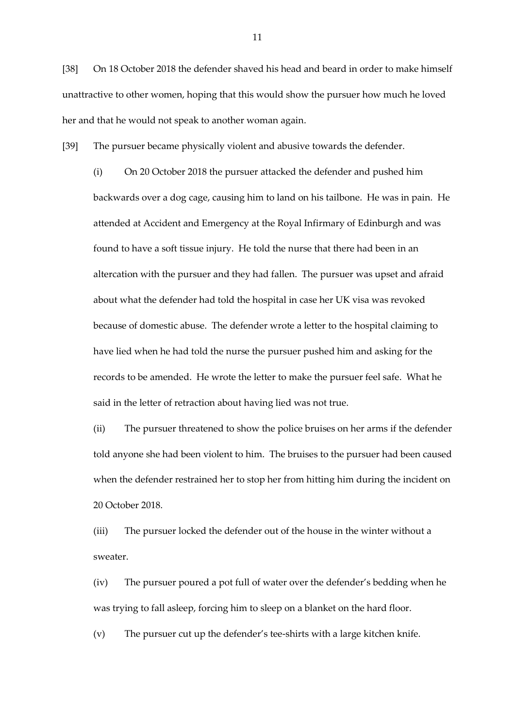[38] On 18 October 2018 the defender shaved his head and beard in order to make himself unattractive to other women, hoping that this would show the pursuer how much he loved her and that he would not speak to another woman again.

[39] The pursuer became physically violent and abusive towards the defender.

(i) On 20 October 2018 the pursuer attacked the defender and pushed him backwards over a dog cage, causing him to land on his tailbone. He was in pain. He attended at Accident and Emergency at the Royal Infirmary of Edinburgh and was found to have a soft tissue injury. He told the nurse that there had been in an altercation with the pursuer and they had fallen. The pursuer was upset and afraid about what the defender had told the hospital in case her UK visa was revoked because of domestic abuse. The defender wrote a letter to the hospital claiming to have lied when he had told the nurse the pursuer pushed him and asking for the records to be amended. He wrote the letter to make the pursuer feel safe. What he said in the letter of retraction about having lied was not true.

(ii) The pursuer threatened to show the police bruises on her arms if the defender told anyone she had been violent to him. The bruises to the pursuer had been caused when the defender restrained her to stop her from hitting him during the incident on 20 October 2018.

(iii) The pursuer locked the defender out of the house in the winter without a sweater.

(iv) The pursuer poured a pot full of water over the defender's bedding when he was trying to fall asleep, forcing him to sleep on a blanket on the hard floor.

(v) The pursuer cut up the defender's tee-shirts with a large kitchen knife.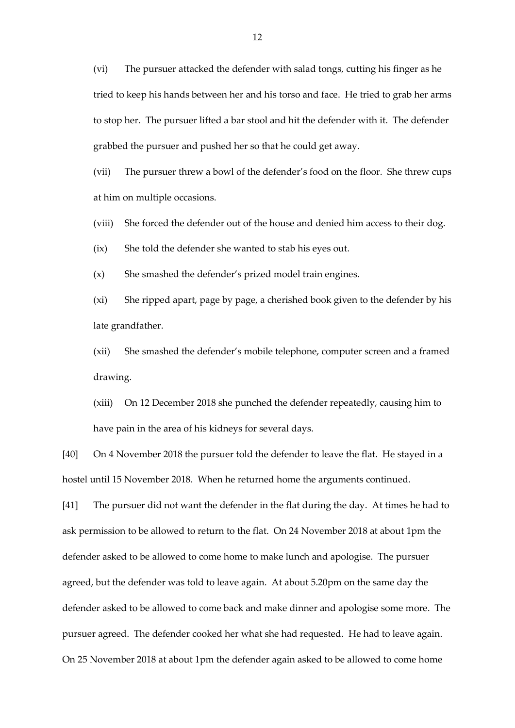(vi) The pursuer attacked the defender with salad tongs, cutting his finger as he tried to keep his hands between her and his torso and face. He tried to grab her arms to stop her. The pursuer lifted a bar stool and hit the defender with it. The defender grabbed the pursuer and pushed her so that he could get away.

(vii) The pursuer threw a bowl of the defender's food on the floor. She threw cups at him on multiple occasions.

(viii) She forced the defender out of the house and denied him access to their dog.

(ix) She told the defender she wanted to stab his eyes out.

(x) She smashed the defender's prized model train engines.

(xi) She ripped apart, page by page, a cherished book given to the defender by his late grandfather.

(xii) She smashed the defender's mobile telephone, computer screen and a framed drawing.

(xiii) On 12 December 2018 she punched the defender repeatedly, causing him to have pain in the area of his kidneys for several days.

[40] On 4 November 2018 the pursuer told the defender to leave the flat. He stayed in a hostel until 15 November 2018. When he returned home the arguments continued.

[41] The pursuer did not want the defender in the flat during the day. At times he had to ask permission to be allowed to return to the flat. On 24 November 2018 at about 1pm the defender asked to be allowed to come home to make lunch and apologise. The pursuer agreed, but the defender was told to leave again. At about 5.20pm on the same day the defender asked to be allowed to come back and make dinner and apologise some more. The pursuer agreed. The defender cooked her what she had requested. He had to leave again. On 25 November 2018 at about 1pm the defender again asked to be allowed to come home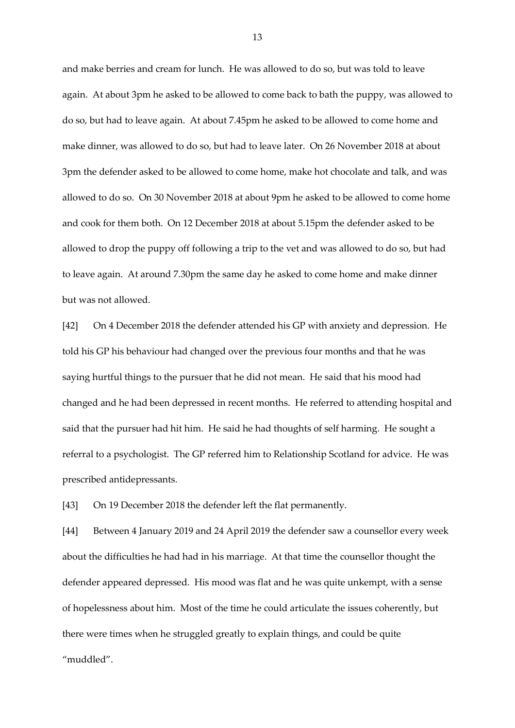and make berries and cream for lunch. He was allowed to do so, but was told to leave again. At about 3pm he asked to be allowed to come back to bath the puppy, was allowed to do so, but had to leave again. At about 7.45pm he asked to be allowed to come home and make dinner, was allowed to do so, but had to leave later. On 26 November 2018 at about 3pm the defender asked to be allowed to come home, make hot chocolate and talk, and was allowed to do so. On 30 November 2018 at about 9pm he asked to be allowed to come home and cook for them both. On 12 December 2018 at about 5.15pm the defender asked to be allowed to drop the puppy off following a trip to the vet and was allowed to do so, but had to leave again. At around 7.30pm the same day he asked to come home and make dinner but was not allowed.

[42] On 4 December 2018 the defender attended his GP with anxiety and depression. He told his GP his behaviour had changed over the previous four months and that he was saying hurtful things to the pursuer that he did not mean. He said that his mood had changed and he had been depressed in recent months. He referred to attending hospital and said that the pursuer had hit him. He said he had thoughts of self harming. He sought a referral to a psychologist. The GP referred him to Relationship Scotland for advice. He was prescribed antidepressants.

[43] On 19 December 2018 the defender left the flat permanently.

[44] Between 4 January 2019 and 24 April 2019 the defender saw a counsellor every week about the difficulties he had had in his marriage. At that time the counsellor thought the defender appeared depressed. His mood was flat and he was quite unkempt, with a sense of hopelessness about him. Most of the time he could articulate the issues coherently, but there were times when he struggled greatly to explain things, and could be quite "muddled".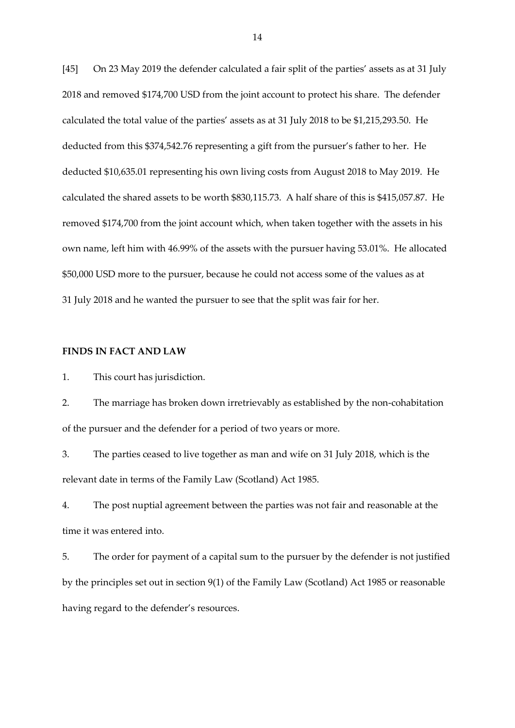[45] On 23 May 2019 the defender calculated a fair split of the parties' assets as at 31 July 2018 and removed \$174,700 USD from the joint account to protect his share. The defender calculated the total value of the parties' assets as at 31 July 2018 to be \$1,215,293.50. He deducted from this \$374,542.76 representing a gift from the pursuer's father to her. He deducted \$10,635.01 representing his own living costs from August 2018 to May 2019. He calculated the shared assets to be worth \$830,115.73. A half share of this is \$415,057.87. He removed \$174,700 from the joint account which, when taken together with the assets in his own name, left him with 46.99% of the assets with the pursuer having 53.01%. He allocated \$50,000 USD more to the pursuer, because he could not access some of the values as at 31 July 2018 and he wanted the pursuer to see that the split was fair for her.

## **FINDS IN FACT AND LAW**

1. This court has jurisdiction.

2. The marriage has broken down irretrievably as established by the non-cohabitation of the pursuer and the defender for a period of two years or more.

3. The parties ceased to live together as man and wife on 31 July 2018, which is the relevant date in terms of the Family Law (Scotland) Act 1985.

4. The post nuptial agreement between the parties was not fair and reasonable at the time it was entered into.

5. The order for payment of a capital sum to the pursuer by the defender is not justified by the principles set out in section 9(1) of the Family Law (Scotland) Act 1985 or reasonable having regard to the defender's resources.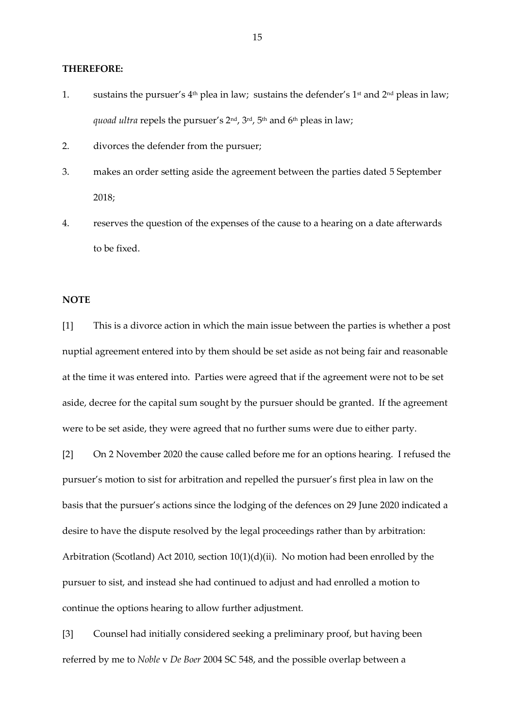#### **THEREFORE:**

- 1. sustains the pursuer's  $4<sup>th</sup>$  plea in law; sustains the defender's  $1<sup>st</sup>$  and  $2<sup>nd</sup>$  pleas in law; *quoad ultra repels the pursuer's 2<sup>nd</sup>*, 3<sup>rd</sup>, 5<sup>th</sup> and 6<sup>th</sup> pleas in law;
- 2. divorces the defender from the pursuer;
- 3. makes an order setting aside the agreement between the parties dated 5 September 2018;
- 4. reserves the question of the expenses of the cause to a hearing on a date afterwards to be fixed.

# **NOTE**

[1] This is a divorce action in which the main issue between the parties is whether a post nuptial agreement entered into by them should be set aside as not being fair and reasonable at the time it was entered into. Parties were agreed that if the agreement were not to be set aside, decree for the capital sum sought by the pursuer should be granted. If the agreement were to be set aside, they were agreed that no further sums were due to either party.

[2] On 2 November 2020 the cause called before me for an options hearing. I refused the pursuer's motion to sist for arbitration and repelled the pursuer's first plea in law on the basis that the pursuer's actions since the lodging of the defences on 29 June 2020 indicated a desire to have the dispute resolved by the legal proceedings rather than by arbitration: Arbitration (Scotland) Act 2010, section 10(1)(d)(ii). No motion had been enrolled by the pursuer to sist, and instead she had continued to adjust and had enrolled a motion to continue the options hearing to allow further adjustment.

[3] Counsel had initially considered seeking a preliminary proof, but having been referred by me to *Noble* v *De Boer* 2004 SC 548, and the possible overlap between a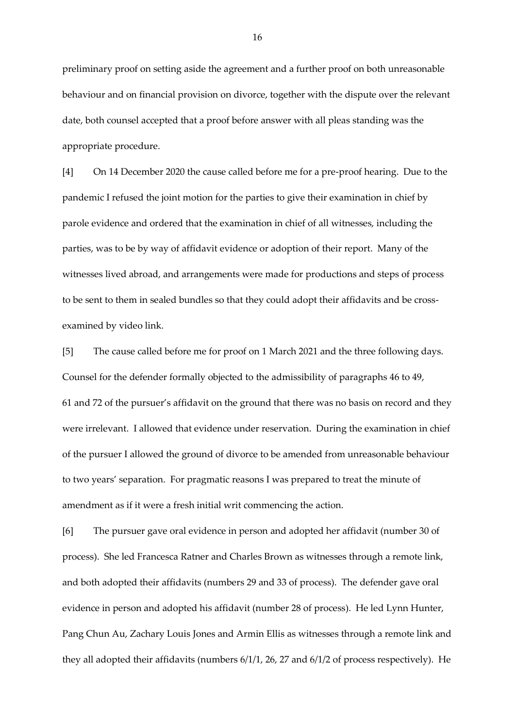preliminary proof on setting aside the agreement and a further proof on both unreasonable behaviour and on financial provision on divorce, together with the dispute over the relevant date, both counsel accepted that a proof before answer with all pleas standing was the appropriate procedure.

[4] On 14 December 2020 the cause called before me for a pre-proof hearing. Due to the pandemic I refused the joint motion for the parties to give their examination in chief by parole evidence and ordered that the examination in chief of all witnesses, including the parties, was to be by way of affidavit evidence or adoption of their report. Many of the witnesses lived abroad, and arrangements were made for productions and steps of process to be sent to them in sealed bundles so that they could adopt their affidavits and be crossexamined by video link.

[5] The cause called before me for proof on 1 March 2021 and the three following days. Counsel for the defender formally objected to the admissibility of paragraphs 46 to 49, 61 and 72 of the pursuer's affidavit on the ground that there was no basis on record and they were irrelevant. I allowed that evidence under reservation. During the examination in chief of the pursuer I allowed the ground of divorce to be amended from unreasonable behaviour to two years' separation. For pragmatic reasons I was prepared to treat the minute of amendment as if it were a fresh initial writ commencing the action.

[6] The pursuer gave oral evidence in person and adopted her affidavit (number 30 of process). She led Francesca Ratner and Charles Brown as witnesses through a remote link, and both adopted their affidavits (numbers 29 and 33 of process). The defender gave oral evidence in person and adopted his affidavit (number 28 of process). He led Lynn Hunter, Pang Chun Au, Zachary Louis Jones and Armin Ellis as witnesses through a remote link and they all adopted their affidavits (numbers 6/1/1, 26, 27 and 6/1/2 of process respectively). He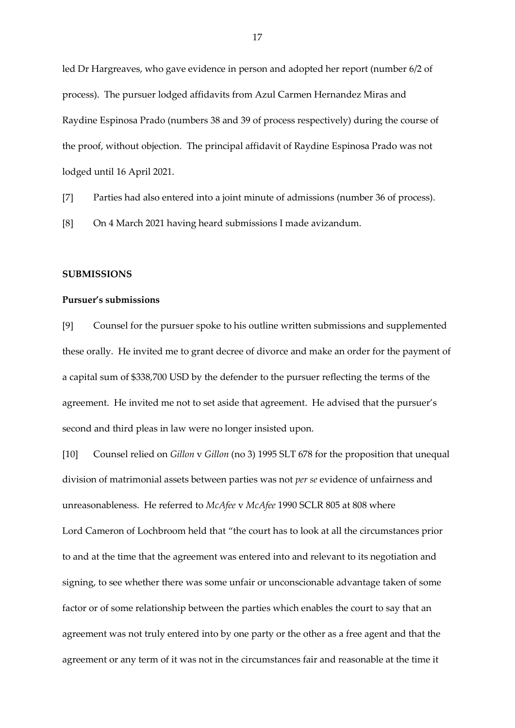led Dr Hargreaves, who gave evidence in person and adopted her report (number 6/2 of process). The pursuer lodged affidavits from Azul Carmen Hernandez Miras and Raydine Espinosa Prado (numbers 38 and 39 of process respectively) during the course of the proof, without objection. The principal affidavit of Raydine Espinosa Prado was not lodged until 16 April 2021.

[7] Parties had also entered into a joint minute of admissions (number 36 of process).

[8] On 4 March 2021 having heard submissions I made avizandum.

## **SUBMISSIONS**

#### **Pursuer's submissions**

[9] Counsel for the pursuer spoke to his outline written submissions and supplemented these orally. He invited me to grant decree of divorce and make an order for the payment of a capital sum of \$338,700 USD by the defender to the pursuer reflecting the terms of the agreement. He invited me not to set aside that agreement. He advised that the pursuer's second and third pleas in law were no longer insisted upon.

[10] Counsel relied on *Gillon* v *Gillon* (no 3) 1995 SLT 678 for the proposition that unequal division of matrimonial assets between parties was not *per se* evidence of unfairness and unreasonableness. He referred to *McAfee* v *McAfee* 1990 SCLR 805 at 808 where Lord Cameron of Lochbroom held that "the court has to look at all the circumstances prior to and at the time that the agreement was entered into and relevant to its negotiation and signing, to see whether there was some unfair or unconscionable advantage taken of some factor or of some relationship between the parties which enables the court to say that an agreement was not truly entered into by one party or the other as a free agent and that the agreement or any term of it was not in the circumstances fair and reasonable at the time it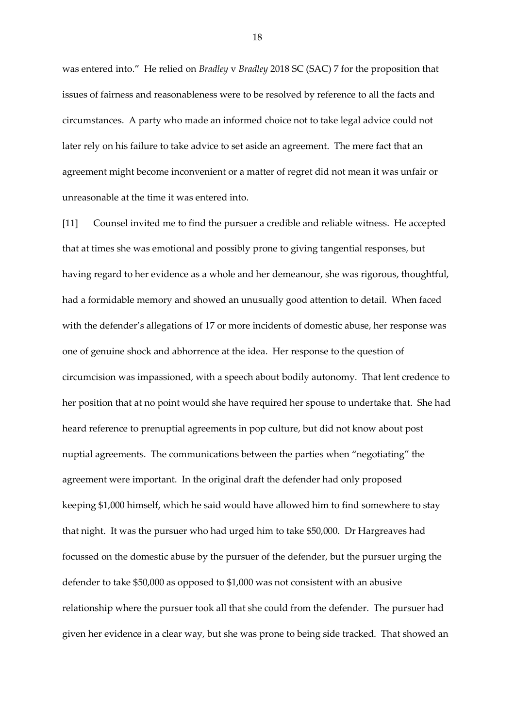was entered into." He relied on *Bradley* v *Bradley* 2018 SC (SAC) 7 for the proposition that issues of fairness and reasonableness were to be resolved by reference to all the facts and circumstances. A party who made an informed choice not to take legal advice could not later rely on his failure to take advice to set aside an agreement. The mere fact that an agreement might become inconvenient or a matter of regret did not mean it was unfair or unreasonable at the time it was entered into.

[11] Counsel invited me to find the pursuer a credible and reliable witness. He accepted that at times she was emotional and possibly prone to giving tangential responses, but having regard to her evidence as a whole and her demeanour, she was rigorous, thoughtful, had a formidable memory and showed an unusually good attention to detail. When faced with the defender's allegations of 17 or more incidents of domestic abuse, her response was one of genuine shock and abhorrence at the idea. Her response to the question of circumcision was impassioned, with a speech about bodily autonomy. That lent credence to her position that at no point would she have required her spouse to undertake that. She had heard reference to prenuptial agreements in pop culture, but did not know about post nuptial agreements. The communications between the parties when "negotiating" the agreement were important. In the original draft the defender had only proposed keeping \$1,000 himself, which he said would have allowed him to find somewhere to stay that night. It was the pursuer who had urged him to take \$50,000. Dr Hargreaves had focussed on the domestic abuse by the pursuer of the defender, but the pursuer urging the defender to take \$50,000 as opposed to \$1,000 was not consistent with an abusive relationship where the pursuer took all that she could from the defender. The pursuer had given her evidence in a clear way, but she was prone to being side tracked. That showed an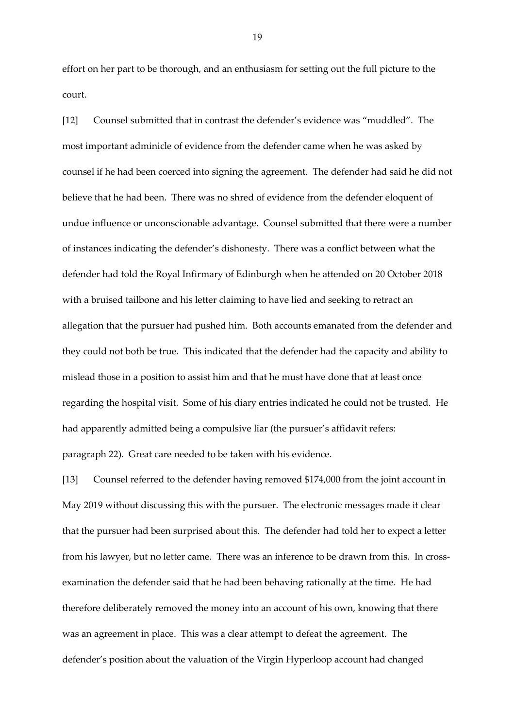effort on her part to be thorough, and an enthusiasm for setting out the full picture to the court.

[12] Counsel submitted that in contrast the defender's evidence was "muddled". The most important adminicle of evidence from the defender came when he was asked by counsel if he had been coerced into signing the agreement. The defender had said he did not believe that he had been. There was no shred of evidence from the defender eloquent of undue influence or unconscionable advantage. Counsel submitted that there were a number of instances indicating the defender's dishonesty. There was a conflict between what the defender had told the Royal Infirmary of Edinburgh when he attended on 20 October 2018 with a bruised tailbone and his letter claiming to have lied and seeking to retract an allegation that the pursuer had pushed him. Both accounts emanated from the defender and they could not both be true. This indicated that the defender had the capacity and ability to mislead those in a position to assist him and that he must have done that at least once regarding the hospital visit. Some of his diary entries indicated he could not be trusted. He had apparently admitted being a compulsive liar (the pursuer's affidavit refers: paragraph 22). Great care needed to be taken with his evidence.

[13] Counsel referred to the defender having removed \$174,000 from the joint account in May 2019 without discussing this with the pursuer. The electronic messages made it clear that the pursuer had been surprised about this. The defender had told her to expect a letter from his lawyer, but no letter came. There was an inference to be drawn from this. In crossexamination the defender said that he had been behaving rationally at the time. He had therefore deliberately removed the money into an account of his own, knowing that there was an agreement in place. This was a clear attempt to defeat the agreement. The defender's position about the valuation of the Virgin Hyperloop account had changed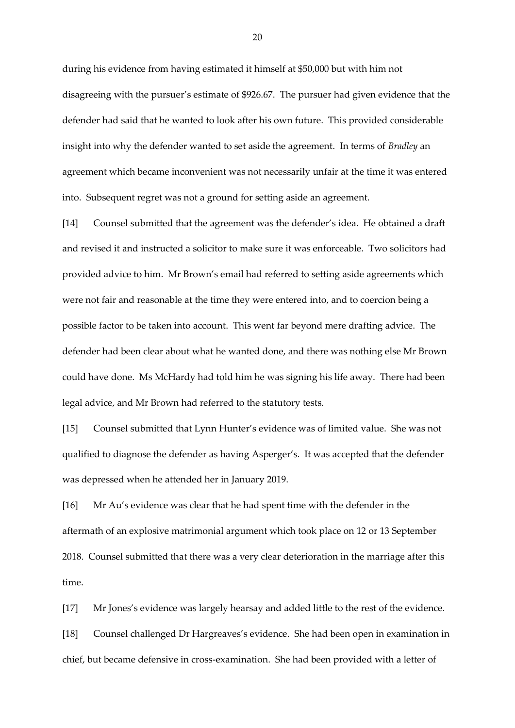during his evidence from having estimated it himself at \$50,000 but with him not disagreeing with the pursuer's estimate of \$926.67. The pursuer had given evidence that the defender had said that he wanted to look after his own future. This provided considerable insight into why the defender wanted to set aside the agreement. In terms of *Bradley* an agreement which became inconvenient was not necessarily unfair at the time it was entered into. Subsequent regret was not a ground for setting aside an agreement.

[14] Counsel submitted that the agreement was the defender's idea. He obtained a draft and revised it and instructed a solicitor to make sure it was enforceable. Two solicitors had provided advice to him. Mr Brown's email had referred to setting aside agreements which were not fair and reasonable at the time they were entered into, and to coercion being a possible factor to be taken into account. This went far beyond mere drafting advice. The defender had been clear about what he wanted done, and there was nothing else Mr Brown could have done. Ms McHardy had told him he was signing his life away. There had been legal advice, and Mr Brown had referred to the statutory tests.

[15] Counsel submitted that Lynn Hunter's evidence was of limited value. She was not qualified to diagnose the defender as having Asperger's. It was accepted that the defender was depressed when he attended her in January 2019.

[16] Mr Au's evidence was clear that he had spent time with the defender in the aftermath of an explosive matrimonial argument which took place on 12 or 13 September 2018. Counsel submitted that there was a very clear deterioration in the marriage after this time.

[17] Mr Jones's evidence was largely hearsay and added little to the rest of the evidence. [18] Counsel challenged Dr Hargreaves's evidence. She had been open in examination in chief, but became defensive in cross-examination. She had been provided with a letter of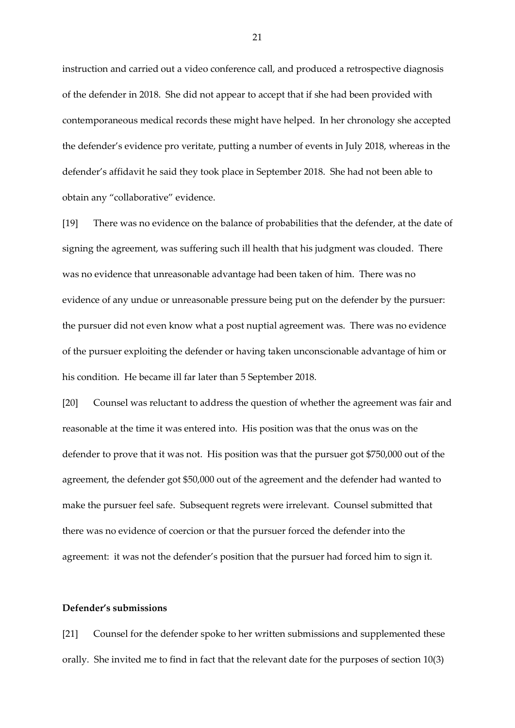instruction and carried out a video conference call, and produced a retrospective diagnosis of the defender in 2018. She did not appear to accept that if she had been provided with contemporaneous medical records these might have helped. In her chronology she accepted the defender's evidence pro veritate, putting a number of events in July 2018, whereas in the defender's affidavit he said they took place in September 2018. She had not been able to obtain any "collaborative" evidence.

[19] There was no evidence on the balance of probabilities that the defender, at the date of signing the agreement, was suffering such ill health that his judgment was clouded. There was no evidence that unreasonable advantage had been taken of him. There was no evidence of any undue or unreasonable pressure being put on the defender by the pursuer: the pursuer did not even know what a post nuptial agreement was. There was no evidence of the pursuer exploiting the defender or having taken unconscionable advantage of him or his condition. He became ill far later than 5 September 2018.

[20] Counsel was reluctant to address the question of whether the agreement was fair and reasonable at the time it was entered into. His position was that the onus was on the defender to prove that it was not. His position was that the pursuer got \$750,000 out of the agreement, the defender got \$50,000 out of the agreement and the defender had wanted to make the pursuer feel safe. Subsequent regrets were irrelevant. Counsel submitted that there was no evidence of coercion or that the pursuer forced the defender into the agreement: it was not the defender's position that the pursuer had forced him to sign it.

## **Defender's submissions**

[21] Counsel for the defender spoke to her written submissions and supplemented these orally. She invited me to find in fact that the relevant date for the purposes of section 10(3)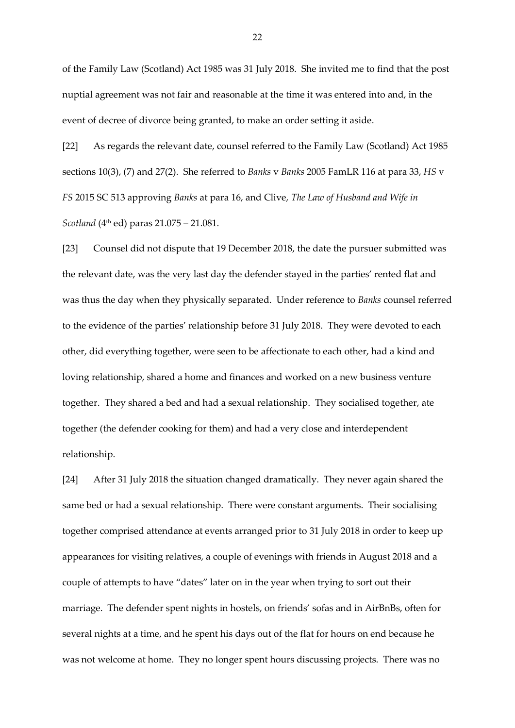of the Family Law (Scotland) Act 1985 was 31 July 2018. She invited me to find that the post nuptial agreement was not fair and reasonable at the time it was entered into and, in the event of decree of divorce being granted, to make an order setting it aside.

[22] As regards the relevant date, counsel referred to the Family Law (Scotland) Act 1985 sections 10(3), (7) and 27(2). She referred to *Banks* v *Banks* 2005 FamLR 116 at para 33, *HS* v *FS* 2015 SC 513 approving *Banks* at para 16, and Clive, *The Law of Husband and Wife in Scotland* (4<sup>th</sup> ed) paras 21.075 – 21.081.

[23] Counsel did not dispute that 19 December 2018, the date the pursuer submitted was the relevant date, was the very last day the defender stayed in the parties' rented flat and was thus the day when they physically separated. Under reference to *Banks* counsel referred to the evidence of the parties' relationship before 31 July 2018. They were devoted to each other, did everything together, were seen to be affectionate to each other, had a kind and loving relationship, shared a home and finances and worked on a new business venture together. They shared a bed and had a sexual relationship. They socialised together, ate together (the defender cooking for them) and had a very close and interdependent relationship.

[24] After 31 July 2018 the situation changed dramatically. They never again shared the same bed or had a sexual relationship. There were constant arguments. Their socialising together comprised attendance at events arranged prior to 31 July 2018 in order to keep up appearances for visiting relatives, a couple of evenings with friends in August 2018 and a couple of attempts to have "dates" later on in the year when trying to sort out their marriage. The defender spent nights in hostels, on friends' sofas and in AirBnBs, often for several nights at a time, and he spent his days out of the flat for hours on end because he was not welcome at home. They no longer spent hours discussing projects. There was no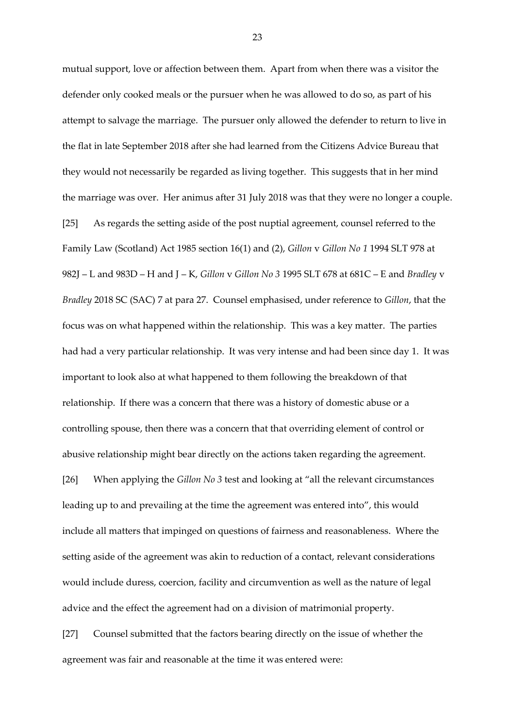mutual support, love or affection between them. Apart from when there was a visitor the defender only cooked meals or the pursuer when he was allowed to do so, as part of his attempt to salvage the marriage. The pursuer only allowed the defender to return to live in the flat in late September 2018 after she had learned from the Citizens Advice Bureau that they would not necessarily be regarded as living together. This suggests that in her mind the marriage was over. Her animus after 31 July 2018 was that they were no longer a couple. [25] As regards the setting aside of the post nuptial agreement, counsel referred to the Family Law (Scotland) Act 1985 section 16(1) and (2), *Gillon* v *Gillon No 1* 1994 SLT 978 at 982J – L and 983D – H and J – K, *Gillon* v *Gillon No 3* 1995 SLT 678 at 681C – E and *Bradley* v *Bradley* 2018 SC (SAC) 7 at para 27. Counsel emphasised, under reference to *Gillon*, that the focus was on what happened within the relationship. This was a key matter. The parties had had a very particular relationship. It was very intense and had been since day 1. It was important to look also at what happened to them following the breakdown of that relationship. If there was a concern that there was a history of domestic abuse or a controlling spouse, then there was a concern that that overriding element of control or abusive relationship might bear directly on the actions taken regarding the agreement. [26] When applying the *Gillon No 3* test and looking at "all the relevant circumstances leading up to and prevailing at the time the agreement was entered into", this would include all matters that impinged on questions of fairness and reasonableness. Where the setting aside of the agreement was akin to reduction of a contact, relevant considerations would include duress, coercion, facility and circumvention as well as the nature of legal advice and the effect the agreement had on a division of matrimonial property.

[27] Counsel submitted that the factors bearing directly on the issue of whether the agreement was fair and reasonable at the time it was entered were: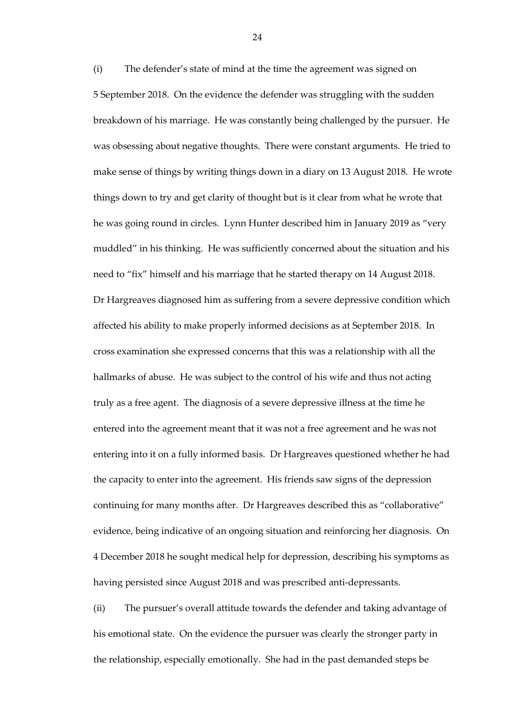(i) The defender's state of mind at the time the agreement was signed on 5 September 2018. On the evidence the defender was struggling with the sudden breakdown of his marriage. He was constantly being challenged by the pursuer. He was obsessing about negative thoughts. There were constant arguments. He tried to make sense of things by writing things down in a diary on 13 August 2018. He wrote things down to try and get clarity of thought but is it clear from what he wrote that he was going round in circles. Lynn Hunter described him in January 2019 as "very muddled" in his thinking. He was sufficiently concerned about the situation and his need to "fix" himself and his marriage that he started therapy on 14 August 2018. Dr Hargreaves diagnosed him as suffering from a severe depressive condition which affected his ability to make properly informed decisions as at September 2018. In cross examination she expressed concerns that this was a relationship with all the hallmarks of abuse. He was subject to the control of his wife and thus not acting truly as a free agent. The diagnosis of a severe depressive illness at the time he entered into the agreement meant that it was not a free agreement and he was not entering into it on a fully informed basis. Dr Hargreaves questioned whether he had the capacity to enter into the agreement. His friends saw signs of the depression continuing for many months after. Dr Hargreaves described this as "collaborative" evidence, being indicative of an ongoing situation and reinforcing her diagnosis. On 4 December 2018 he sought medical help for depression, describing his symptoms as having persisted since August 2018 and was prescribed anti-depressants.

(ii) The pursuer's overall attitude towards the defender and taking advantage of his emotional state. On the evidence the pursuer was clearly the stronger party in the relationship, especially emotionally. She had in the past demanded steps be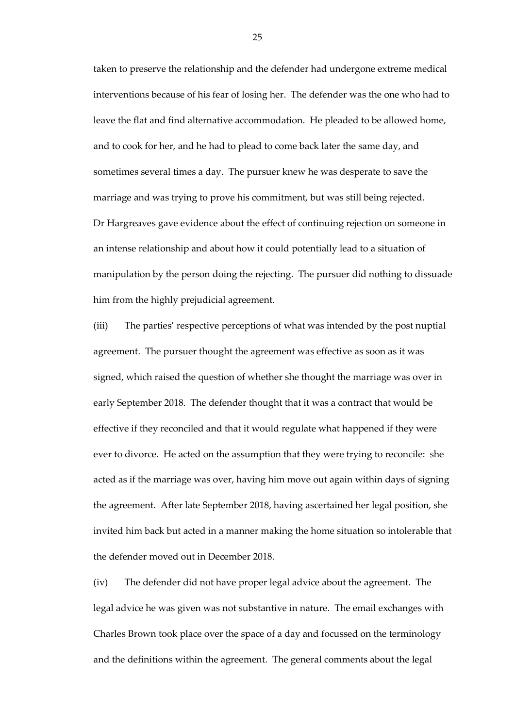taken to preserve the relationship and the defender had undergone extreme medical interventions because of his fear of losing her. The defender was the one who had to leave the flat and find alternative accommodation. He pleaded to be allowed home, and to cook for her, and he had to plead to come back later the same day, and sometimes several times a day. The pursuer knew he was desperate to save the marriage and was trying to prove his commitment, but was still being rejected. Dr Hargreaves gave evidence about the effect of continuing rejection on someone in an intense relationship and about how it could potentially lead to a situation of manipulation by the person doing the rejecting. The pursuer did nothing to dissuade him from the highly prejudicial agreement.

(iii) The parties' respective perceptions of what was intended by the post nuptial agreement. The pursuer thought the agreement was effective as soon as it was signed, which raised the question of whether she thought the marriage was over in early September 2018. The defender thought that it was a contract that would be effective if they reconciled and that it would regulate what happened if they were ever to divorce. He acted on the assumption that they were trying to reconcile: she acted as if the marriage was over, having him move out again within days of signing the agreement. After late September 2018, having ascertained her legal position, she invited him back but acted in a manner making the home situation so intolerable that the defender moved out in December 2018.

(iv) The defender did not have proper legal advice about the agreement. The legal advice he was given was not substantive in nature. The email exchanges with Charles Brown took place over the space of a day and focussed on the terminology and the definitions within the agreement. The general comments about the legal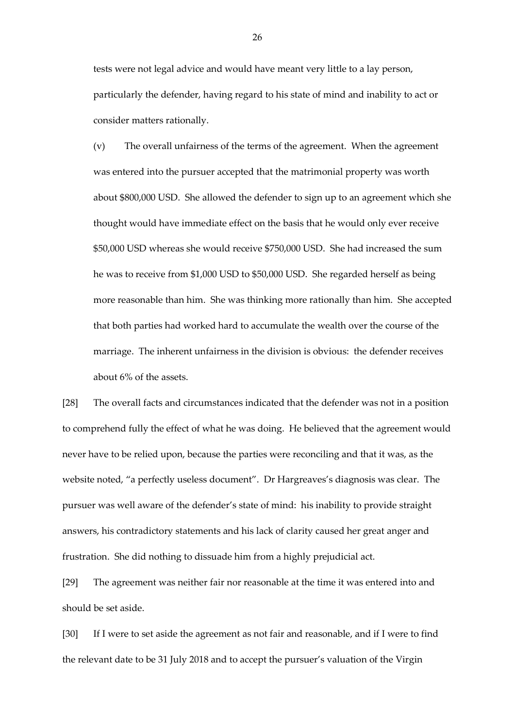tests were not legal advice and would have meant very little to a lay person, particularly the defender, having regard to his state of mind and inability to act or consider matters rationally.

(v) The overall unfairness of the terms of the agreement. When the agreement was entered into the pursuer accepted that the matrimonial property was worth about \$800,000 USD. She allowed the defender to sign up to an agreement which she thought would have immediate effect on the basis that he would only ever receive \$50,000 USD whereas she would receive \$750,000 USD. She had increased the sum he was to receive from \$1,000 USD to \$50,000 USD. She regarded herself as being more reasonable than him. She was thinking more rationally than him. She accepted that both parties had worked hard to accumulate the wealth over the course of the marriage. The inherent unfairness in the division is obvious: the defender receives about 6% of the assets.

[28] The overall facts and circumstances indicated that the defender was not in a position to comprehend fully the effect of what he was doing. He believed that the agreement would never have to be relied upon, because the parties were reconciling and that it was, as the website noted, "a perfectly useless document". Dr Hargreaves's diagnosis was clear. The pursuer was well aware of the defender's state of mind: his inability to provide straight answers, his contradictory statements and his lack of clarity caused her great anger and frustration. She did nothing to dissuade him from a highly prejudicial act.

[29] The agreement was neither fair nor reasonable at the time it was entered into and should be set aside.

[30] If I were to set aside the agreement as not fair and reasonable, and if I were to find the relevant date to be 31 July 2018 and to accept the pursuer's valuation of the Virgin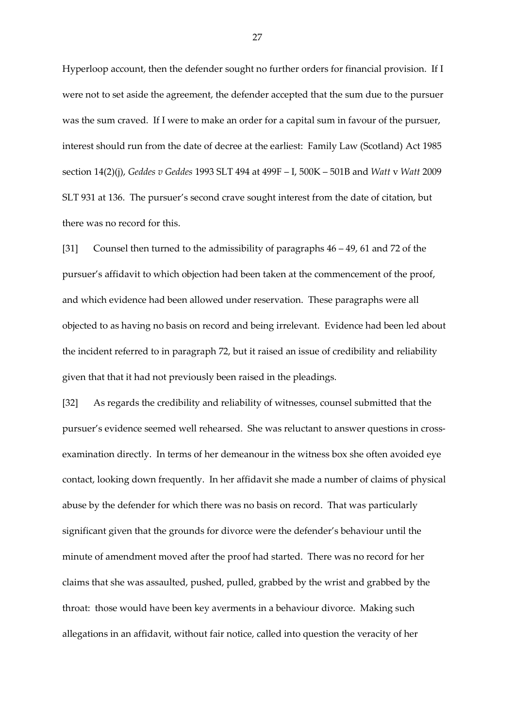Hyperloop account, then the defender sought no further orders for financial provision. If I were not to set aside the agreement, the defender accepted that the sum due to the pursuer was the sum craved. If I were to make an order for a capital sum in favour of the pursuer, interest should run from the date of decree at the earliest: Family Law (Scotland) Act 1985 section 14(2)(j), *Geddes v Geddes* 1993 SLT 494 at 499F – I, 500K – 501B and *Watt* v *Watt* 2009 SLT 931 at 136. The pursuer's second crave sought interest from the date of citation, but there was no record for this.

[31] Counsel then turned to the admissibility of paragraphs 46 – 49, 61 and 72 of the pursuer's affidavit to which objection had been taken at the commencement of the proof, and which evidence had been allowed under reservation. These paragraphs were all objected to as having no basis on record and being irrelevant. Evidence had been led about the incident referred to in paragraph 72, but it raised an issue of credibility and reliability given that that it had not previously been raised in the pleadings.

[32] As regards the credibility and reliability of witnesses, counsel submitted that the pursuer's evidence seemed well rehearsed. She was reluctant to answer questions in crossexamination directly. In terms of her demeanour in the witness box she often avoided eye contact, looking down frequently. In her affidavit she made a number of claims of physical abuse by the defender for which there was no basis on record. That was particularly significant given that the grounds for divorce were the defender's behaviour until the minute of amendment moved after the proof had started. There was no record for her claims that she was assaulted, pushed, pulled, grabbed by the wrist and grabbed by the throat: those would have been key averments in a behaviour divorce. Making such allegations in an affidavit, without fair notice, called into question the veracity of her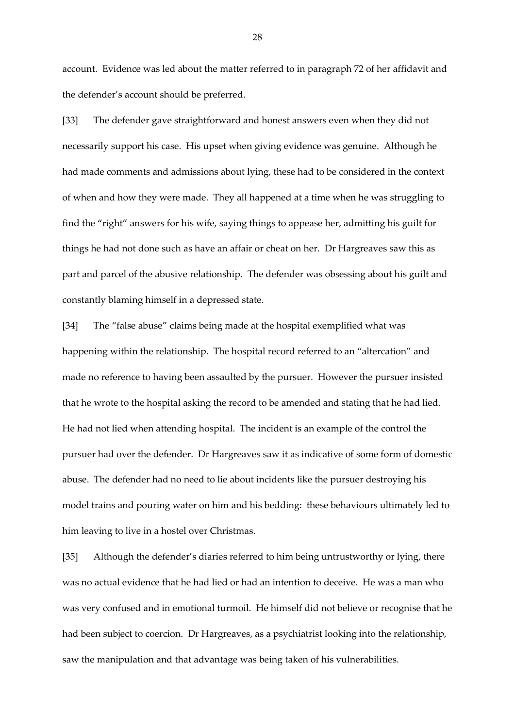account. Evidence was led about the matter referred to in paragraph 72 of her affidavit and the defender's account should be preferred.

[33] The defender gave straightforward and honest answers even when they did not necessarily support his case. His upset when giving evidence was genuine. Although he had made comments and admissions about lying, these had to be considered in the context of when and how they were made. They all happened at a time when he was struggling to find the "right" answers for his wife, saying things to appease her, admitting his guilt for things he had not done such as have an affair or cheat on her. Dr Hargreaves saw this as part and parcel of the abusive relationship. The defender was obsessing about his guilt and constantly blaming himself in a depressed state.

[34] The "false abuse" claims being made at the hospital exemplified what was happening within the relationship. The hospital record referred to an "altercation" and made no reference to having been assaulted by the pursuer. However the pursuer insisted that he wrote to the hospital asking the record to be amended and stating that he had lied. He had not lied when attending hospital. The incident is an example of the control the pursuer had over the defender. Dr Hargreaves saw it as indicative of some form of domestic abuse. The defender had no need to lie about incidents like the pursuer destroying his model trains and pouring water on him and his bedding: these behaviours ultimately led to him leaving to live in a hostel over Christmas.

[35] Although the defender's diaries referred to him being untrustworthy or lying, there was no actual evidence that he had lied or had an intention to deceive. He was a man who was very confused and in emotional turmoil. He himself did not believe or recognise that he had been subject to coercion. Dr Hargreaves, as a psychiatrist looking into the relationship, saw the manipulation and that advantage was being taken of his vulnerabilities.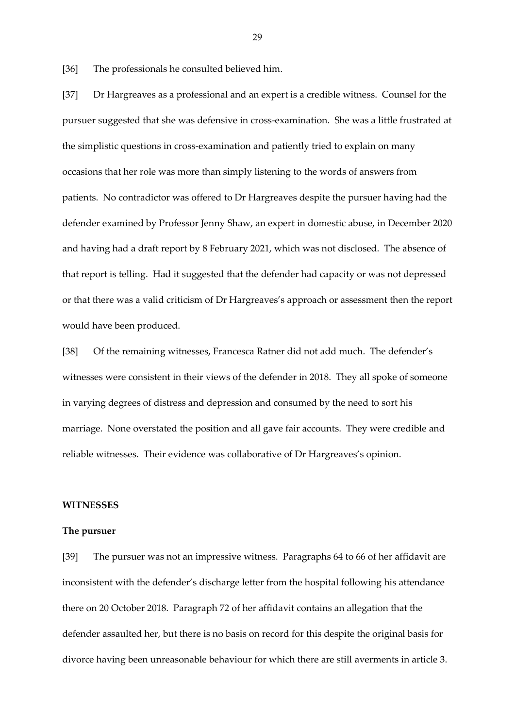[36] The professionals he consulted believed him.

[37] Dr Hargreaves as a professional and an expert is a credible witness. Counsel for the pursuer suggested that she was defensive in cross-examination. She was a little frustrated at the simplistic questions in cross-examination and patiently tried to explain on many occasions that her role was more than simply listening to the words of answers from patients. No contradictor was offered to Dr Hargreaves despite the pursuer having had the defender examined by Professor Jenny Shaw, an expert in domestic abuse, in December 2020 and having had a draft report by 8 February 2021, which was not disclosed. The absence of that report is telling. Had it suggested that the defender had capacity or was not depressed or that there was a valid criticism of Dr Hargreaves's approach or assessment then the report would have been produced.

[38] Of the remaining witnesses, Francesca Ratner did not add much. The defender's witnesses were consistent in their views of the defender in 2018. They all spoke of someone in varying degrees of distress and depression and consumed by the need to sort his marriage. None overstated the position and all gave fair accounts. They were credible and reliable witnesses. Their evidence was collaborative of Dr Hargreaves's opinion.

## **WITNESSES**

#### **The pursuer**

[39] The pursuer was not an impressive witness. Paragraphs 64 to 66 of her affidavit are inconsistent with the defender's discharge letter from the hospital following his attendance there on 20 October 2018. Paragraph 72 of her affidavit contains an allegation that the defender assaulted her, but there is no basis on record for this despite the original basis for divorce having been unreasonable behaviour for which there are still averments in article 3.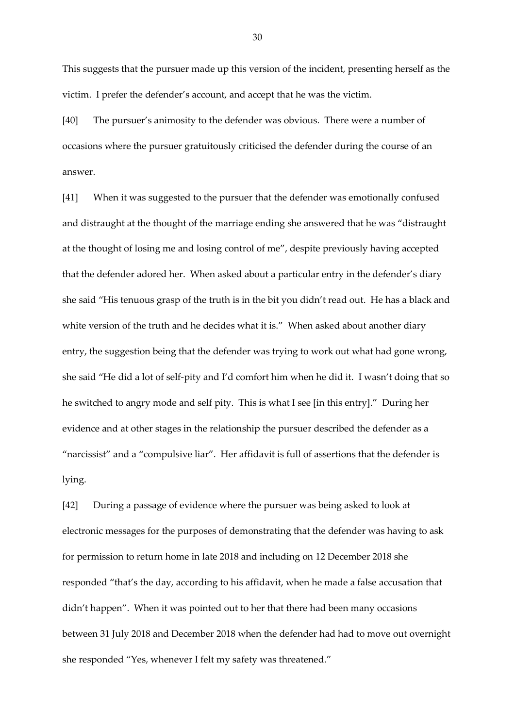This suggests that the pursuer made up this version of the incident, presenting herself as the victim. I prefer the defender's account, and accept that he was the victim.

[40] The pursuer's animosity to the defender was obvious. There were a number of occasions where the pursuer gratuitously criticised the defender during the course of an answer.

[41] When it was suggested to the pursuer that the defender was emotionally confused and distraught at the thought of the marriage ending she answered that he was "distraught at the thought of losing me and losing control of me", despite previously having accepted that the defender adored her. When asked about a particular entry in the defender's diary she said "His tenuous grasp of the truth is in the bit you didn't read out. He has a black and white version of the truth and he decides what it is." When asked about another diary entry, the suggestion being that the defender was trying to work out what had gone wrong, she said "He did a lot of self-pity and I'd comfort him when he did it. I wasn't doing that so he switched to angry mode and self pity. This is what I see [in this entry]." During her evidence and at other stages in the relationship the pursuer described the defender as a "narcissist" and a "compulsive liar". Her affidavit is full of assertions that the defender is lying.

[42] During a passage of evidence where the pursuer was being asked to look at electronic messages for the purposes of demonstrating that the defender was having to ask for permission to return home in late 2018 and including on 12 December 2018 she responded "that's the day, according to his affidavit, when he made a false accusation that didn't happen". When it was pointed out to her that there had been many occasions between 31 July 2018 and December 2018 when the defender had had to move out overnight she responded "Yes, whenever I felt my safety was threatened."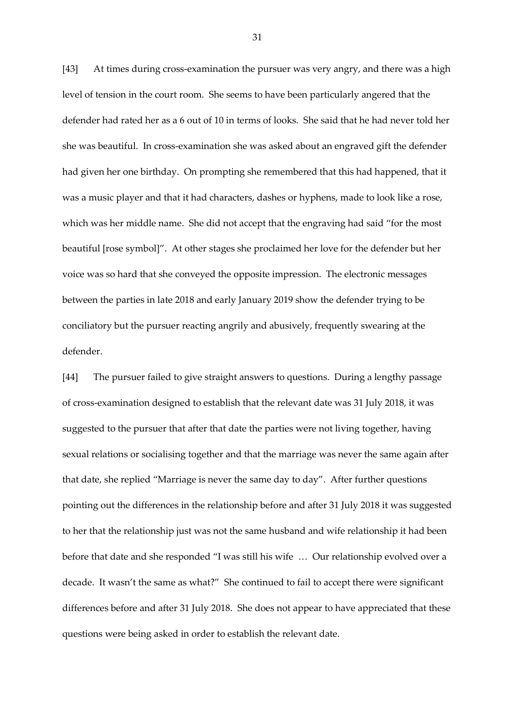[43] At times during cross-examination the pursuer was very angry, and there was a high level of tension in the court room. She seems to have been particularly angered that the defender had rated her as a 6 out of 10 in terms of looks. She said that he had never told her she was beautiful. In cross-examination she was asked about an engraved gift the defender had given her one birthday. On prompting she remembered that this had happened, that it was a music player and that it had characters, dashes or hyphens, made to look like a rose, which was her middle name. She did not accept that the engraving had said "for the most beautiful [rose symbol]". At other stages she proclaimed her love for the defender but her voice was so hard that she conveyed the opposite impression. The electronic messages between the parties in late 2018 and early January 2019 show the defender trying to be conciliatory but the pursuer reacting angrily and abusively, frequently swearing at the defender.

[44] The pursuer failed to give straight answers to questions. During a lengthy passage of cross-examination designed to establish that the relevant date was 31 July 2018, it was suggested to the pursuer that after that date the parties were not living together, having sexual relations or socialising together and that the marriage was never the same again after that date, she replied "Marriage is never the same day to day". After further questions pointing out the differences in the relationship before and after 31 July 2018 it was suggested to her that the relationship just was not the same husband and wife relationship it had been before that date and she responded "I was still his wife … Our relationship evolved over a decade. It wasn't the same as what?" She continued to fail to accept there were significant differences before and after 31 July 2018. She does not appear to have appreciated that these questions were being asked in order to establish the relevant date.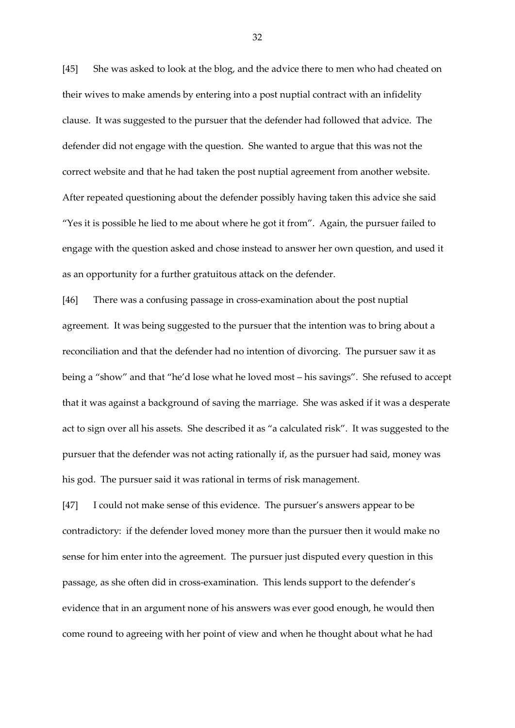[45] She was asked to look at the blog, and the advice there to men who had cheated on their wives to make amends by entering into a post nuptial contract with an infidelity clause. It was suggested to the pursuer that the defender had followed that advice. The defender did not engage with the question. She wanted to argue that this was not the correct website and that he had taken the post nuptial agreement from another website. After repeated questioning about the defender possibly having taken this advice she said "Yes it is possible he lied to me about where he got it from". Again, the pursuer failed to engage with the question asked and chose instead to answer her own question, and used it as an opportunity for a further gratuitous attack on the defender.

[46] There was a confusing passage in cross-examination about the post nuptial agreement. It was being suggested to the pursuer that the intention was to bring about a reconciliation and that the defender had no intention of divorcing. The pursuer saw it as being a "show" and that "he'd lose what he loved most – his savings". She refused to accept that it was against a background of saving the marriage. She was asked if it was a desperate act to sign over all his assets. She described it as "a calculated risk". It was suggested to the pursuer that the defender was not acting rationally if, as the pursuer had said, money was his god. The pursuer said it was rational in terms of risk management.

[47] I could not make sense of this evidence. The pursuer's answers appear to be contradictory: if the defender loved money more than the pursuer then it would make no sense for him enter into the agreement. The pursuer just disputed every question in this passage, as she often did in cross-examination. This lends support to the defender's evidence that in an argument none of his answers was ever good enough, he would then come round to agreeing with her point of view and when he thought about what he had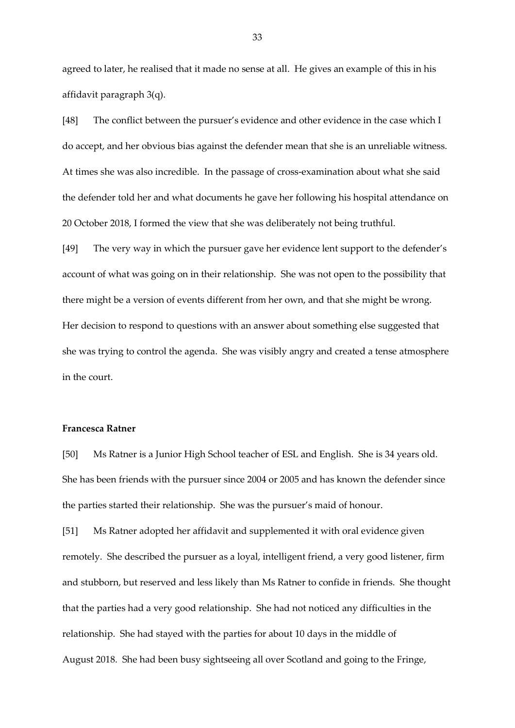agreed to later, he realised that it made no sense at all. He gives an example of this in his affidavit paragraph 3(q).

[48] The conflict between the pursuer's evidence and other evidence in the case which I do accept, and her obvious bias against the defender mean that she is an unreliable witness. At times she was also incredible. In the passage of cross-examination about what she said the defender told her and what documents he gave her following his hospital attendance on 20 October 2018, I formed the view that she was deliberately not being truthful.

[49] The very way in which the pursuer gave her evidence lent support to the defender's account of what was going on in their relationship. She was not open to the possibility that there might be a version of events different from her own, and that she might be wrong. Her decision to respond to questions with an answer about something else suggested that she was trying to control the agenda. She was visibly angry and created a tense atmosphere in the court.

#### **Francesca Ratner**

[50] Ms Ratner is a Junior High School teacher of ESL and English. She is 34 years old. She has been friends with the pursuer since 2004 or 2005 and has known the defender since the parties started their relationship. She was the pursuer's maid of honour.

[51] Ms Ratner adopted her affidavit and supplemented it with oral evidence given remotely. She described the pursuer as a loyal, intelligent friend, a very good listener, firm and stubborn, but reserved and less likely than Ms Ratner to confide in friends. She thought that the parties had a very good relationship. She had not noticed any difficulties in the relationship. She had stayed with the parties for about 10 days in the middle of August 2018. She had been busy sightseeing all over Scotland and going to the Fringe,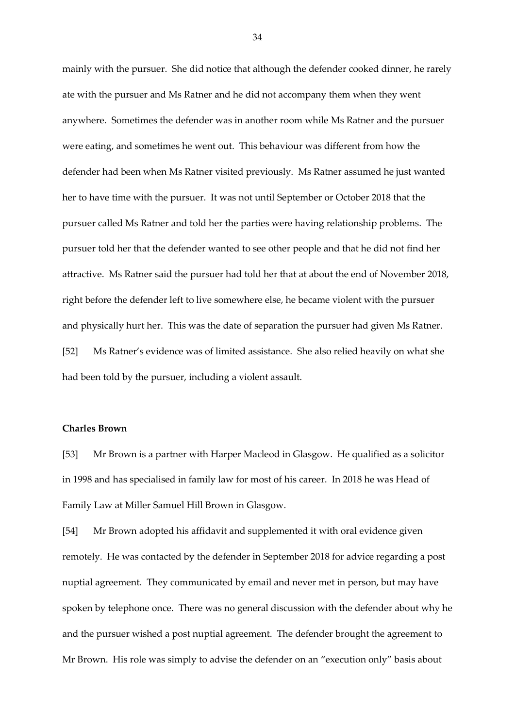mainly with the pursuer. She did notice that although the defender cooked dinner, he rarely ate with the pursuer and Ms Ratner and he did not accompany them when they went anywhere. Sometimes the defender was in another room while Ms Ratner and the pursuer were eating, and sometimes he went out. This behaviour was different from how the defender had been when Ms Ratner visited previously. Ms Ratner assumed he just wanted her to have time with the pursuer. It was not until September or October 2018 that the pursuer called Ms Ratner and told her the parties were having relationship problems. The pursuer told her that the defender wanted to see other people and that he did not find her attractive. Ms Ratner said the pursuer had told her that at about the end of November 2018, right before the defender left to live somewhere else, he became violent with the pursuer and physically hurt her. This was the date of separation the pursuer had given Ms Ratner. [52] Ms Ratner's evidence was of limited assistance. She also relied heavily on what she had been told by the pursuer, including a violent assault.

# **Charles Brown**

[53] Mr Brown is a partner with Harper Macleod in Glasgow. He qualified as a solicitor in 1998 and has specialised in family law for most of his career. In 2018 he was Head of Family Law at Miller Samuel Hill Brown in Glasgow.

[54] Mr Brown adopted his affidavit and supplemented it with oral evidence given remotely. He was contacted by the defender in September 2018 for advice regarding a post nuptial agreement. They communicated by email and never met in person, but may have spoken by telephone once. There was no general discussion with the defender about why he and the pursuer wished a post nuptial agreement. The defender brought the agreement to Mr Brown. His role was simply to advise the defender on an "execution only" basis about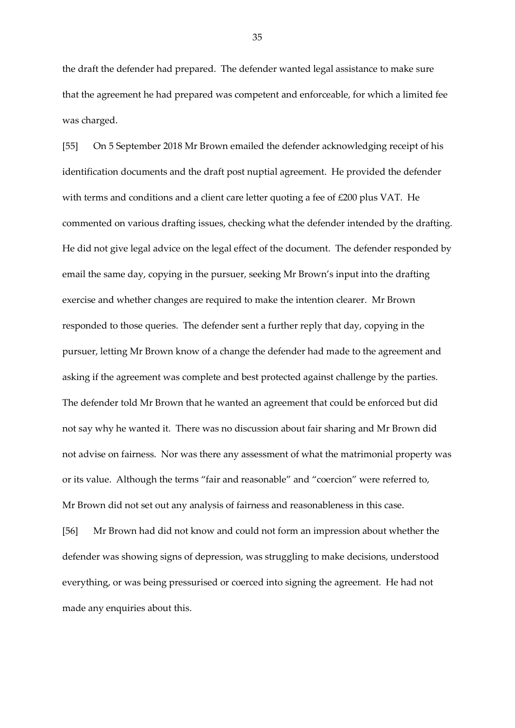the draft the defender had prepared. The defender wanted legal assistance to make sure that the agreement he had prepared was competent and enforceable, for which a limited fee was charged.

[55] On 5 September 2018 Mr Brown emailed the defender acknowledging receipt of his identification documents and the draft post nuptial agreement. He provided the defender with terms and conditions and a client care letter quoting a fee of £200 plus VAT. He commented on various drafting issues, checking what the defender intended by the drafting. He did not give legal advice on the legal effect of the document. The defender responded by email the same day, copying in the pursuer, seeking Mr Brown's input into the drafting exercise and whether changes are required to make the intention clearer. Mr Brown responded to those queries. The defender sent a further reply that day, copying in the pursuer, letting Mr Brown know of a change the defender had made to the agreement and asking if the agreement was complete and best protected against challenge by the parties. The defender told Mr Brown that he wanted an agreement that could be enforced but did not say why he wanted it. There was no discussion about fair sharing and Mr Brown did not advise on fairness. Nor was there any assessment of what the matrimonial property was or its value. Although the terms "fair and reasonable" and "coercion" were referred to, Mr Brown did not set out any analysis of fairness and reasonableness in this case.

[56] Mr Brown had did not know and could not form an impression about whether the defender was showing signs of depression, was struggling to make decisions, understood everything, or was being pressurised or coerced into signing the agreement. He had not made any enquiries about this.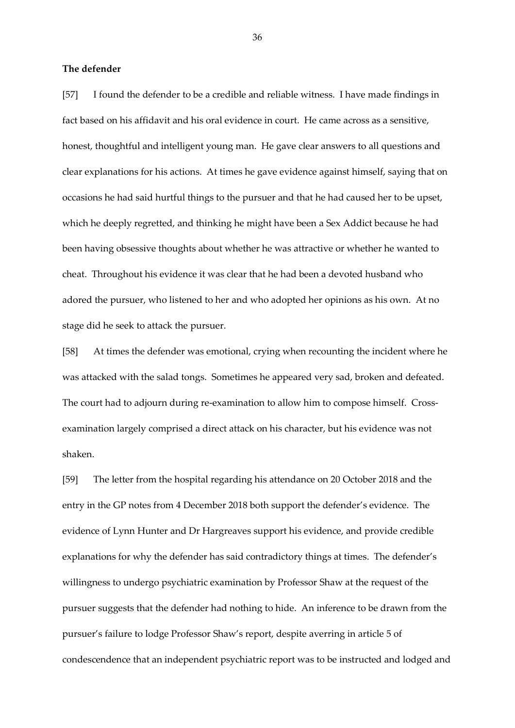## **The defender**

[57] I found the defender to be a credible and reliable witness. I have made findings in fact based on his affidavit and his oral evidence in court. He came across as a sensitive, honest, thoughtful and intelligent young man. He gave clear answers to all questions and clear explanations for his actions. At times he gave evidence against himself, saying that on occasions he had said hurtful things to the pursuer and that he had caused her to be upset, which he deeply regretted, and thinking he might have been a Sex Addict because he had been having obsessive thoughts about whether he was attractive or whether he wanted to cheat. Throughout his evidence it was clear that he had been a devoted husband who adored the pursuer, who listened to her and who adopted her opinions as his own. At no stage did he seek to attack the pursuer.

[58] At times the defender was emotional, crying when recounting the incident where he was attacked with the salad tongs. Sometimes he appeared very sad, broken and defeated. The court had to adjourn during re-examination to allow him to compose himself. Crossexamination largely comprised a direct attack on his character, but his evidence was not shaken.

[59] The letter from the hospital regarding his attendance on 20 October 2018 and the entry in the GP notes from 4 December 2018 both support the defender's evidence. The evidence of Lynn Hunter and Dr Hargreaves support his evidence, and provide credible explanations for why the defender has said contradictory things at times. The defender's willingness to undergo psychiatric examination by Professor Shaw at the request of the pursuer suggests that the defender had nothing to hide. An inference to be drawn from the pursuer's failure to lodge Professor Shaw's report, despite averring in article 5 of condescendence that an independent psychiatric report was to be instructed and lodged and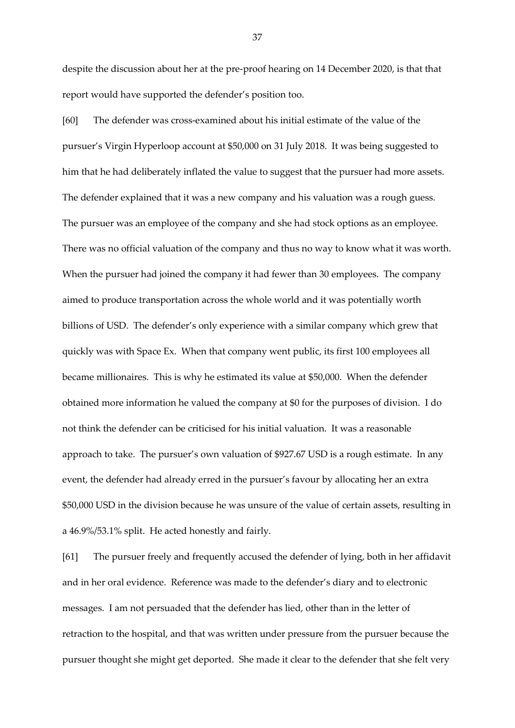despite the discussion about her at the pre-proof hearing on 14 December 2020, is that that report would have supported the defender's position too.

[60] The defender was cross-examined about his initial estimate of the value of the pursuer's Virgin Hyperloop account at \$50,000 on 31 July 2018. It was being suggested to him that he had deliberately inflated the value to suggest that the pursuer had more assets. The defender explained that it was a new company and his valuation was a rough guess. The pursuer was an employee of the company and she had stock options as an employee. There was no official valuation of the company and thus no way to know what it was worth. When the pursuer had joined the company it had fewer than 30 employees. The company aimed to produce transportation across the whole world and it was potentially worth billions of USD. The defender's only experience with a similar company which grew that quickly was with Space Ex. When that company went public, its first 100 employees all became millionaires. This is why he estimated its value at \$50,000. When the defender obtained more information he valued the company at \$0 for the purposes of division. I do not think the defender can be criticised for his initial valuation. It was a reasonable approach to take. The pursuer's own valuation of \$927.67 USD is a rough estimate. In any event, the defender had already erred in the pursuer's favour by allocating her an extra \$50,000 USD in the division because he was unsure of the value of certain assets, resulting in a 46.9%/53.1% split. He acted honestly and fairly.

[61] The pursuer freely and frequently accused the defender of lying, both in her affidavit and in her oral evidence. Reference was made to the defender's diary and to electronic messages. I am not persuaded that the defender has lied, other than in the letter of retraction to the hospital, and that was written under pressure from the pursuer because the pursuer thought she might get deported. She made it clear to the defender that she felt very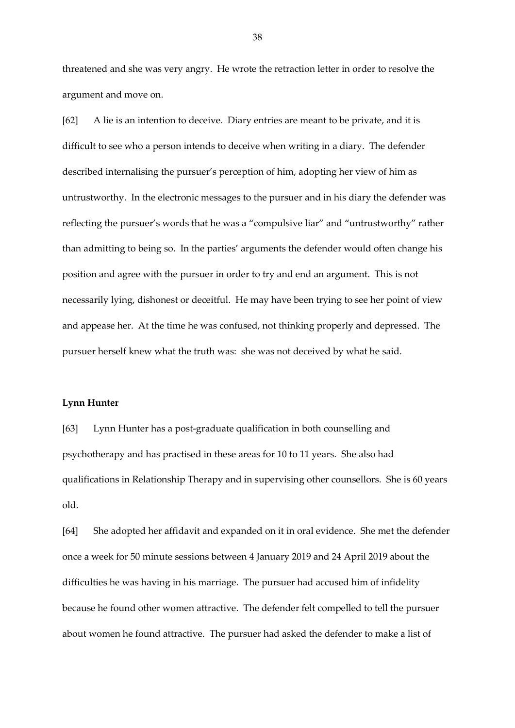threatened and she was very angry. He wrote the retraction letter in order to resolve the argument and move on.

[62] A lie is an intention to deceive. Diary entries are meant to be private, and it is difficult to see who a person intends to deceive when writing in a diary. The defender described internalising the pursuer's perception of him, adopting her view of him as untrustworthy. In the electronic messages to the pursuer and in his diary the defender was reflecting the pursuer's words that he was a "compulsive liar" and "untrustworthy" rather than admitting to being so. In the parties' arguments the defender would often change his position and agree with the pursuer in order to try and end an argument. This is not necessarily lying, dishonest or deceitful. He may have been trying to see her point of view and appease her. At the time he was confused, not thinking properly and depressed. The pursuer herself knew what the truth was: she was not deceived by what he said.

#### **Lynn Hunter**

[63] Lynn Hunter has a post-graduate qualification in both counselling and psychotherapy and has practised in these areas for 10 to 11 years. She also had qualifications in Relationship Therapy and in supervising other counsellors. She is 60 years old.

[64] She adopted her affidavit and expanded on it in oral evidence. She met the defender once a week for 50 minute sessions between 4 January 2019 and 24 April 2019 about the difficulties he was having in his marriage. The pursuer had accused him of infidelity because he found other women attractive. The defender felt compelled to tell the pursuer about women he found attractive. The pursuer had asked the defender to make a list of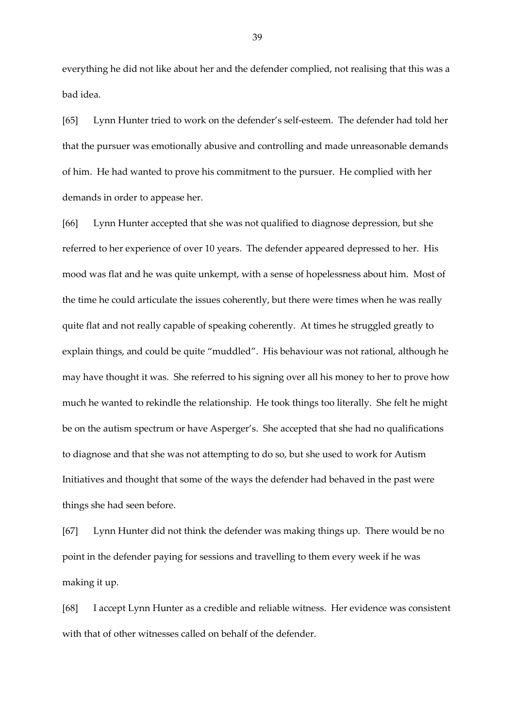everything he did not like about her and the defender complied, not realising that this was a bad idea.

[65] Lynn Hunter tried to work on the defender's self-esteem. The defender had told her that the pursuer was emotionally abusive and controlling and made unreasonable demands of him. He had wanted to prove his commitment to the pursuer. He complied with her demands in order to appease her.

[66] Lynn Hunter accepted that she was not qualified to diagnose depression, but she referred to her experience of over 10 years. The defender appeared depressed to her. His mood was flat and he was quite unkempt, with a sense of hopelessness about him. Most of the time he could articulate the issues coherently, but there were times when he was really quite flat and not really capable of speaking coherently. At times he struggled greatly to explain things, and could be quite "muddled". His behaviour was not rational, although he may have thought it was. She referred to his signing over all his money to her to prove how much he wanted to rekindle the relationship. He took things too literally. She felt he might be on the autism spectrum or have Asperger's. She accepted that she had no qualifications to diagnose and that she was not attempting to do so, but she used to work for Autism Initiatives and thought that some of the ways the defender had behaved in the past were things she had seen before.

[67] Lynn Hunter did not think the defender was making things up. There would be no point in the defender paying for sessions and travelling to them every week if he was making it up.

[68] I accept Lynn Hunter as a credible and reliable witness. Her evidence was consistent with that of other witnesses called on behalf of the defender.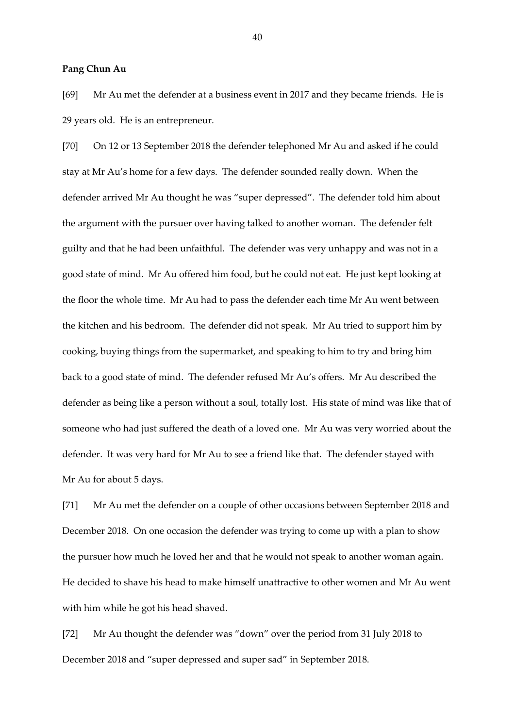#### **Pang Chun Au**

[69] Mr Au met the defender at a business event in 2017 and they became friends. He is 29 years old. He is an entrepreneur.

[70] On 12 or 13 September 2018 the defender telephoned Mr Au and asked if he could stay at Mr Au's home for a few days. The defender sounded really down. When the defender arrived Mr Au thought he was "super depressed". The defender told him about the argument with the pursuer over having talked to another woman. The defender felt guilty and that he had been unfaithful. The defender was very unhappy and was not in a good state of mind. Mr Au offered him food, but he could not eat. He just kept looking at the floor the whole time. Mr Au had to pass the defender each time Mr Au went between the kitchen and his bedroom. The defender did not speak. Mr Au tried to support him by cooking, buying things from the supermarket, and speaking to him to try and bring him back to a good state of mind. The defender refused Mr Au's offers. Mr Au described the defender as being like a person without a soul, totally lost. His state of mind was like that of someone who had just suffered the death of a loved one. Mr Au was very worried about the defender. It was very hard for Mr Au to see a friend like that. The defender stayed with Mr Au for about 5 days.

[71] Mr Au met the defender on a couple of other occasions between September 2018 and December 2018. On one occasion the defender was trying to come up with a plan to show the pursuer how much he loved her and that he would not speak to another woman again. He decided to shave his head to make himself unattractive to other women and Mr Au went with him while he got his head shaved.

[72] Mr Au thought the defender was "down" over the period from 31 July 2018 to December 2018 and "super depressed and super sad" in September 2018.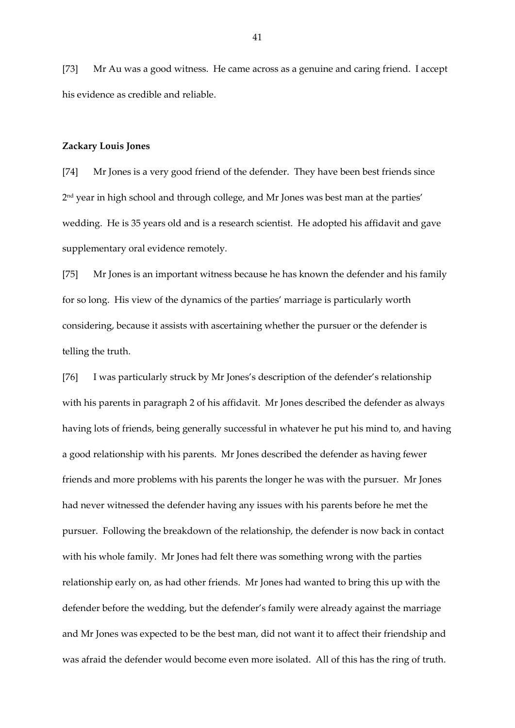[73] Mr Au was a good witness. He came across as a genuine and caring friend. I accept his evidence as credible and reliable.

#### **Zackary Louis Jones**

[74] Mr Jones is a very good friend of the defender. They have been best friends since 2 nd year in high school and through college, and Mr Jones was best man at the parties' wedding. He is 35 years old and is a research scientist. He adopted his affidavit and gave supplementary oral evidence remotely.

[75] Mr Jones is an important witness because he has known the defender and his family for so long. His view of the dynamics of the parties' marriage is particularly worth considering, because it assists with ascertaining whether the pursuer or the defender is telling the truth.

[76] I was particularly struck by Mr Jones's description of the defender's relationship with his parents in paragraph 2 of his affidavit. Mr Jones described the defender as always having lots of friends, being generally successful in whatever he put his mind to, and having a good relationship with his parents. Mr Jones described the defender as having fewer friends and more problems with his parents the longer he was with the pursuer. Mr Jones had never witnessed the defender having any issues with his parents before he met the pursuer. Following the breakdown of the relationship, the defender is now back in contact with his whole family. Mr Jones had felt there was something wrong with the parties relationship early on, as had other friends. Mr Jones had wanted to bring this up with the defender before the wedding, but the defender's family were already against the marriage and Mr Jones was expected to be the best man, did not want it to affect their friendship and was afraid the defender would become even more isolated. All of this has the ring of truth.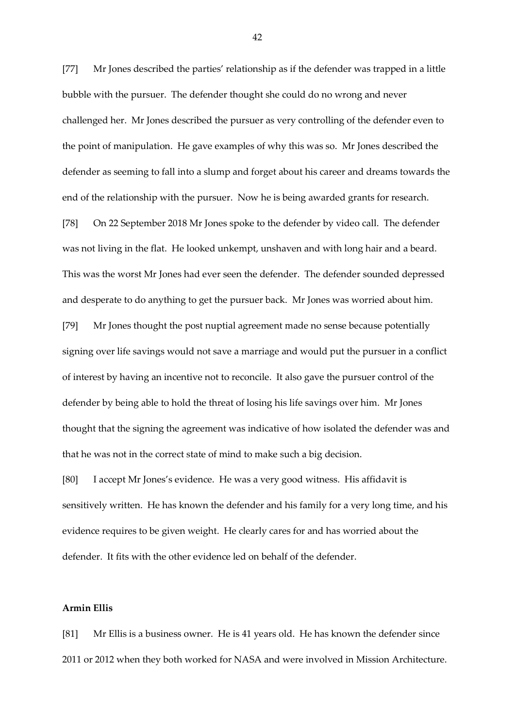[77] Mr Jones described the parties' relationship as if the defender was trapped in a little bubble with the pursuer. The defender thought she could do no wrong and never challenged her. Mr Jones described the pursuer as very controlling of the defender even to the point of manipulation. He gave examples of why this was so. Mr Jones described the defender as seeming to fall into a slump and forget about his career and dreams towards the end of the relationship with the pursuer. Now he is being awarded grants for research.

[78] On 22 September 2018 Mr Jones spoke to the defender by video call. The defender was not living in the flat. He looked unkempt, unshaven and with long hair and a beard. This was the worst Mr Jones had ever seen the defender. The defender sounded depressed and desperate to do anything to get the pursuer back. Mr Jones was worried about him.

[79] Mr Jones thought the post nuptial agreement made no sense because potentially signing over life savings would not save a marriage and would put the pursuer in a conflict of interest by having an incentive not to reconcile. It also gave the pursuer control of the defender by being able to hold the threat of losing his life savings over him. Mr Jones thought that the signing the agreement was indicative of how isolated the defender was and that he was not in the correct state of mind to make such a big decision.

[80] I accept Mr Jones's evidence. He was a very good witness. His affidavit is sensitively written. He has known the defender and his family for a very long time, and his evidence requires to be given weight. He clearly cares for and has worried about the defender. It fits with the other evidence led on behalf of the defender.

## **Armin Ellis**

[81] Mr Ellis is a business owner. He is 41 years old. He has known the defender since 2011 or 2012 when they both worked for NASA and were involved in Mission Architecture.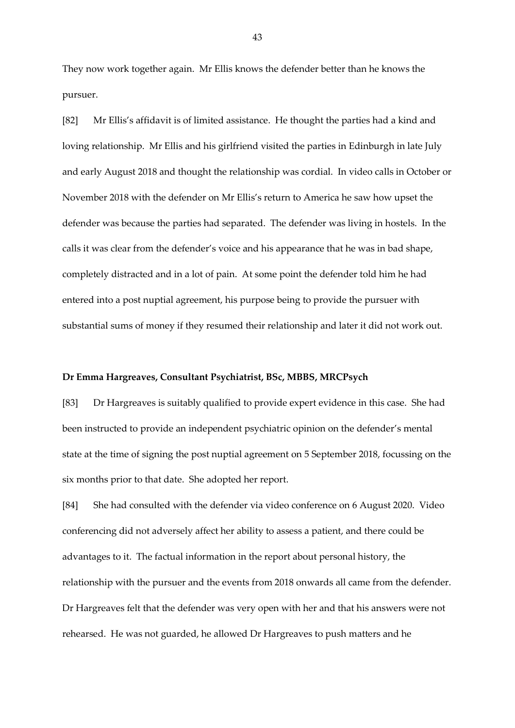They now work together again. Mr Ellis knows the defender better than he knows the pursuer.

[82] Mr Ellis's affidavit is of limited assistance. He thought the parties had a kind and loving relationship. Mr Ellis and his girlfriend visited the parties in Edinburgh in late July and early August 2018 and thought the relationship was cordial. In video calls in October or November 2018 with the defender on Mr Ellis's return to America he saw how upset the defender was because the parties had separated. The defender was living in hostels. In the calls it was clear from the defender's voice and his appearance that he was in bad shape, completely distracted and in a lot of pain. At some point the defender told him he had entered into a post nuptial agreement, his purpose being to provide the pursuer with substantial sums of money if they resumed their relationship and later it did not work out.

#### **Dr Emma Hargreaves, Consultant Psychiatrist, BSc, MBBS, MRCPsych**

[83] Dr Hargreaves is suitably qualified to provide expert evidence in this case. She had been instructed to provide an independent psychiatric opinion on the defender's mental state at the time of signing the post nuptial agreement on 5 September 2018, focussing on the six months prior to that date. She adopted her report.

[84] She had consulted with the defender via video conference on 6 August 2020. Video conferencing did not adversely affect her ability to assess a patient, and there could be advantages to it. The factual information in the report about personal history, the relationship with the pursuer and the events from 2018 onwards all came from the defender. Dr Hargreaves felt that the defender was very open with her and that his answers were not rehearsed. He was not guarded, he allowed Dr Hargreaves to push matters and he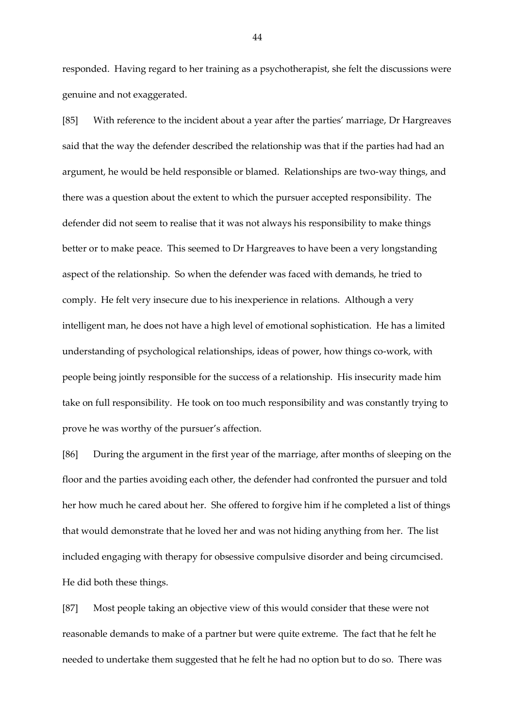responded. Having regard to her training as a psychotherapist, she felt the discussions were genuine and not exaggerated.

[85] With reference to the incident about a year after the parties' marriage, Dr Hargreaves said that the way the defender described the relationship was that if the parties had had an argument, he would be held responsible or blamed. Relationships are two-way things, and there was a question about the extent to which the pursuer accepted responsibility. The defender did not seem to realise that it was not always his responsibility to make things better or to make peace. This seemed to Dr Hargreaves to have been a very longstanding aspect of the relationship. So when the defender was faced with demands, he tried to comply. He felt very insecure due to his inexperience in relations. Although a very intelligent man, he does not have a high level of emotional sophistication. He has a limited understanding of psychological relationships, ideas of power, how things co-work, with people being jointly responsible for the success of a relationship. His insecurity made him take on full responsibility. He took on too much responsibility and was constantly trying to prove he was worthy of the pursuer's affection.

[86] During the argument in the first year of the marriage, after months of sleeping on the floor and the parties avoiding each other, the defender had confronted the pursuer and told her how much he cared about her. She offered to forgive him if he completed a list of things that would demonstrate that he loved her and was not hiding anything from her. The list included engaging with therapy for obsessive compulsive disorder and being circumcised. He did both these things.

[87] Most people taking an objective view of this would consider that these were not reasonable demands to make of a partner but were quite extreme. The fact that he felt he needed to undertake them suggested that he felt he had no option but to do so. There was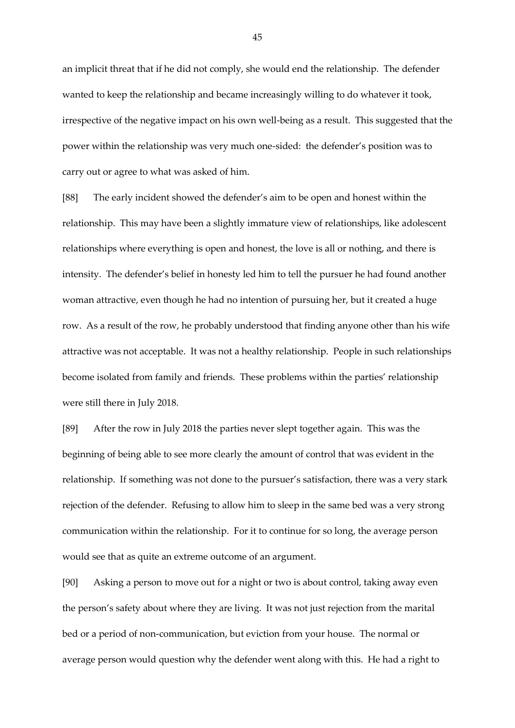an implicit threat that if he did not comply, she would end the relationship. The defender wanted to keep the relationship and became increasingly willing to do whatever it took, irrespective of the negative impact on his own well-being as a result. This suggested that the power within the relationship was very much one-sided: the defender's position was to carry out or agree to what was asked of him.

[88] The early incident showed the defender's aim to be open and honest within the relationship. This may have been a slightly immature view of relationships, like adolescent relationships where everything is open and honest, the love is all or nothing, and there is intensity. The defender's belief in honesty led him to tell the pursuer he had found another woman attractive, even though he had no intention of pursuing her, but it created a huge row. As a result of the row, he probably understood that finding anyone other than his wife attractive was not acceptable. It was not a healthy relationship. People in such relationships become isolated from family and friends. These problems within the parties' relationship were still there in July 2018.

[89] After the row in July 2018 the parties never slept together again. This was the beginning of being able to see more clearly the amount of control that was evident in the relationship. If something was not done to the pursuer's satisfaction, there was a very stark rejection of the defender. Refusing to allow him to sleep in the same bed was a very strong communication within the relationship. For it to continue for so long, the average person would see that as quite an extreme outcome of an argument.

[90] Asking a person to move out for a night or two is about control, taking away even the person's safety about where they are living. It was not just rejection from the marital bed or a period of non-communication, but eviction from your house. The normal or average person would question why the defender went along with this. He had a right to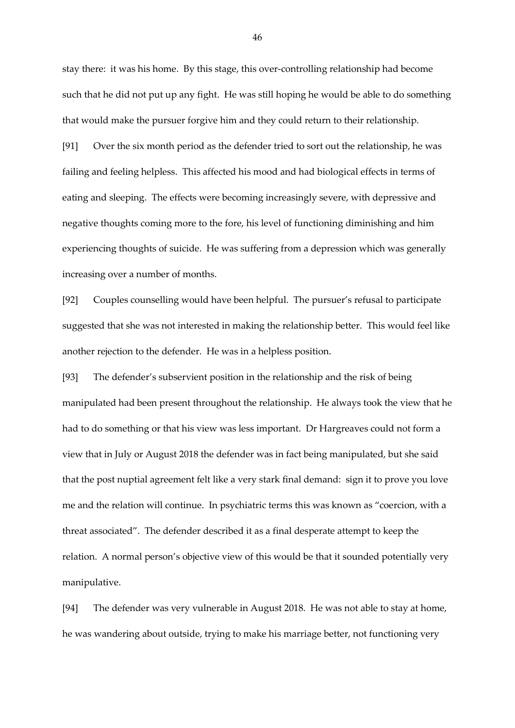stay there: it was his home. By this stage, this over-controlling relationship had become such that he did not put up any fight. He was still hoping he would be able to do something that would make the pursuer forgive him and they could return to their relationship.

[91] Over the six month period as the defender tried to sort out the relationship, he was failing and feeling helpless. This affected his mood and had biological effects in terms of eating and sleeping. The effects were becoming increasingly severe, with depressive and negative thoughts coming more to the fore, his level of functioning diminishing and him experiencing thoughts of suicide. He was suffering from a depression which was generally increasing over a number of months.

[92] Couples counselling would have been helpful. The pursuer's refusal to participate suggested that she was not interested in making the relationship better. This would feel like another rejection to the defender. He was in a helpless position.

[93] The defender's subservient position in the relationship and the risk of being manipulated had been present throughout the relationship. He always took the view that he had to do something or that his view was less important. Dr Hargreaves could not form a view that in July or August 2018 the defender was in fact being manipulated, but she said that the post nuptial agreement felt like a very stark final demand: sign it to prove you love me and the relation will continue. In psychiatric terms this was known as "coercion, with a threat associated". The defender described it as a final desperate attempt to keep the relation. A normal person's objective view of this would be that it sounded potentially very manipulative.

[94] The defender was very vulnerable in August 2018. He was not able to stay at home, he was wandering about outside, trying to make his marriage better, not functioning very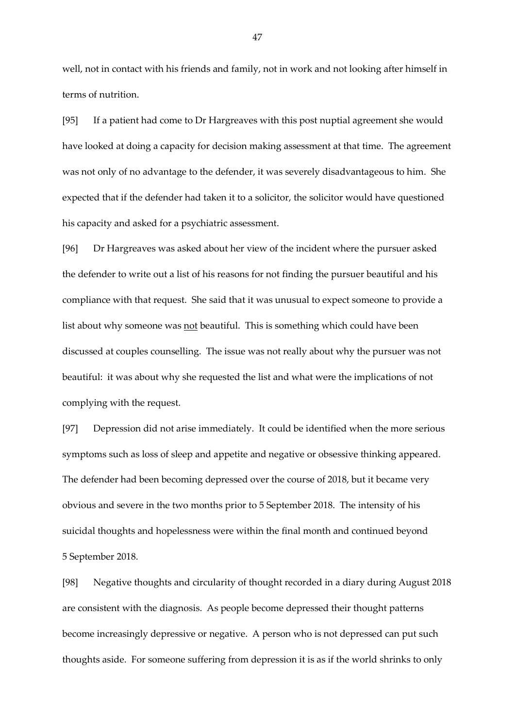well, not in contact with his friends and family, not in work and not looking after himself in terms of nutrition.

[95] If a patient had come to Dr Hargreaves with this post nuptial agreement she would have looked at doing a capacity for decision making assessment at that time. The agreement was not only of no advantage to the defender, it was severely disadvantageous to him. She expected that if the defender had taken it to a solicitor, the solicitor would have questioned his capacity and asked for a psychiatric assessment.

[96] Dr Hargreaves was asked about her view of the incident where the pursuer asked the defender to write out a list of his reasons for not finding the pursuer beautiful and his compliance with that request. She said that it was unusual to expect someone to provide a list about why someone was not beautiful. This is something which could have been discussed at couples counselling. The issue was not really about why the pursuer was not beautiful: it was about why she requested the list and what were the implications of not complying with the request.

[97] Depression did not arise immediately. It could be identified when the more serious symptoms such as loss of sleep and appetite and negative or obsessive thinking appeared. The defender had been becoming depressed over the course of 2018, but it became very obvious and severe in the two months prior to 5 September 2018. The intensity of his suicidal thoughts and hopelessness were within the final month and continued beyond 5 September 2018.

[98] Negative thoughts and circularity of thought recorded in a diary during August 2018 are consistent with the diagnosis. As people become depressed their thought patterns become increasingly depressive or negative. A person who is not depressed can put such thoughts aside. For someone suffering from depression it is as if the world shrinks to only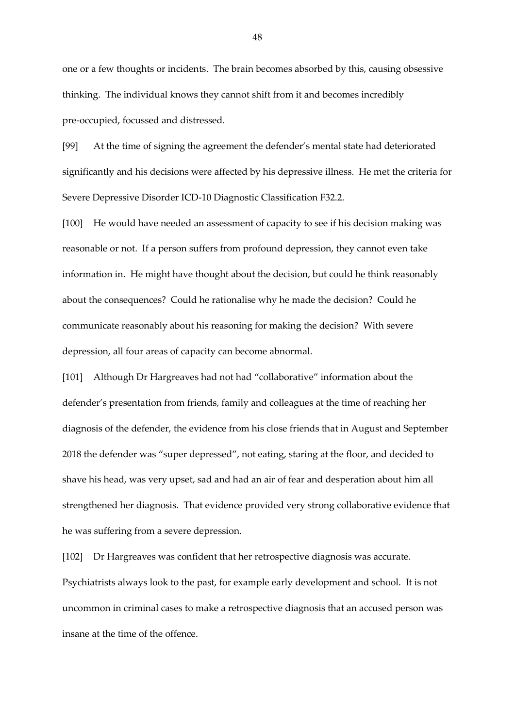one or a few thoughts or incidents. The brain becomes absorbed by this, causing obsessive thinking. The individual knows they cannot shift from it and becomes incredibly pre-occupied, focussed and distressed.

[99] At the time of signing the agreement the defender's mental state had deteriorated significantly and his decisions were affected by his depressive illness. He met the criteria for Severe Depressive Disorder ICD-10 Diagnostic Classification F32.2.

[100] He would have needed an assessment of capacity to see if his decision making was reasonable or not. If a person suffers from profound depression, they cannot even take information in. He might have thought about the decision, but could he think reasonably about the consequences? Could he rationalise why he made the decision? Could he communicate reasonably about his reasoning for making the decision? With severe depression, all four areas of capacity can become abnormal.

[101] Although Dr Hargreaves had not had "collaborative" information about the defender's presentation from friends, family and colleagues at the time of reaching her diagnosis of the defender, the evidence from his close friends that in August and September 2018 the defender was "super depressed", not eating, staring at the floor, and decided to shave his head, was very upset, sad and had an air of fear and desperation about him all strengthened her diagnosis. That evidence provided very strong collaborative evidence that he was suffering from a severe depression.

[102] Dr Hargreaves was confident that her retrospective diagnosis was accurate. Psychiatrists always look to the past, for example early development and school. It is not uncommon in criminal cases to make a retrospective diagnosis that an accused person was insane at the time of the offence.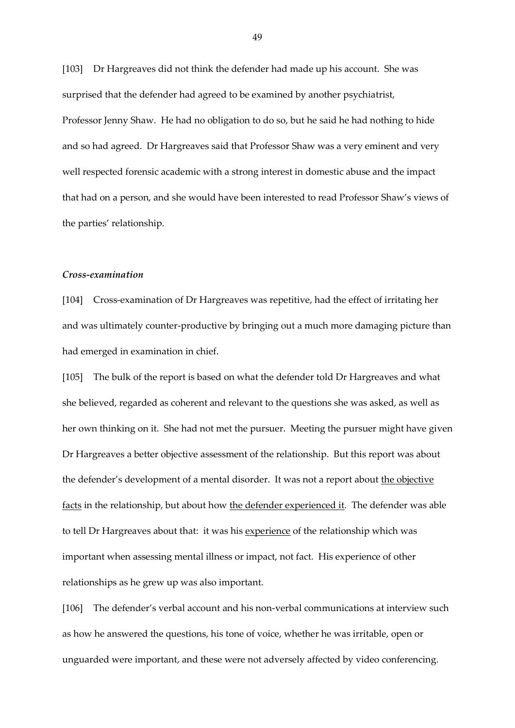[103] Dr Hargreaves did not think the defender had made up his account. She was surprised that the defender had agreed to be examined by another psychiatrist, Professor Jenny Shaw. He had no obligation to do so, but he said he had nothing to hide and so had agreed. Dr Hargreaves said that Professor Shaw was a very eminent and very well respected forensic academic with a strong interest in domestic abuse and the impact that had on a person, and she would have been interested to read Professor Shaw's views of the parties' relationship.

#### *Cross-examination*

[104] Cross-examination of Dr Hargreaves was repetitive, had the effect of irritating her and was ultimately counter-productive by bringing out a much more damaging picture than had emerged in examination in chief.

[105] The bulk of the report is based on what the defender told Dr Hargreaves and what she believed, regarded as coherent and relevant to the questions she was asked, as well as her own thinking on it. She had not met the pursuer. Meeting the pursuer might have given Dr Hargreaves a better objective assessment of the relationship. But this report was about the defender's development of a mental disorder. It was not a report about the objective facts in the relationship, but about how the defender experienced it. The defender was able to tell Dr Hargreaves about that: it was his experience of the relationship which was important when assessing mental illness or impact, not fact. His experience of other relationships as he grew up was also important.

[106] The defender's verbal account and his non-verbal communications at interview such as how he answered the questions, his tone of voice, whether he was irritable, open or unguarded were important, and these were not adversely affected by video conferencing.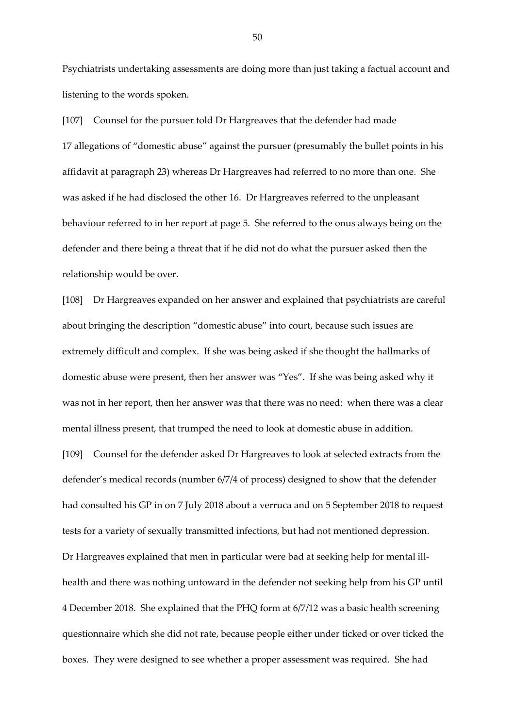Psychiatrists undertaking assessments are doing more than just taking a factual account and listening to the words spoken.

[107] Counsel for the pursuer told Dr Hargreaves that the defender had made 17 allegations of "domestic abuse" against the pursuer (presumably the bullet points in his affidavit at paragraph 23) whereas Dr Hargreaves had referred to no more than one. She was asked if he had disclosed the other 16. Dr Hargreaves referred to the unpleasant behaviour referred to in her report at page 5. She referred to the onus always being on the defender and there being a threat that if he did not do what the pursuer asked then the relationship would be over.

[108] Dr Hargreaves expanded on her answer and explained that psychiatrists are careful about bringing the description "domestic abuse" into court, because such issues are extremely difficult and complex. If she was being asked if she thought the hallmarks of domestic abuse were present, then her answer was "Yes". If she was being asked why it was not in her report, then her answer was that there was no need: when there was a clear mental illness present, that trumped the need to look at domestic abuse in addition. [109] Counsel for the defender asked Dr Hargreaves to look at selected extracts from the defender's medical records (number 6/7/4 of process) designed to show that the defender had consulted his GP in on 7 July 2018 about a verruca and on 5 September 2018 to request tests for a variety of sexually transmitted infections, but had not mentioned depression. Dr Hargreaves explained that men in particular were bad at seeking help for mental illhealth and there was nothing untoward in the defender not seeking help from his GP until 4 December 2018. She explained that the PHQ form at 6/7/12 was a basic health screening questionnaire which she did not rate, because people either under ticked or over ticked the boxes. They were designed to see whether a proper assessment was required. She had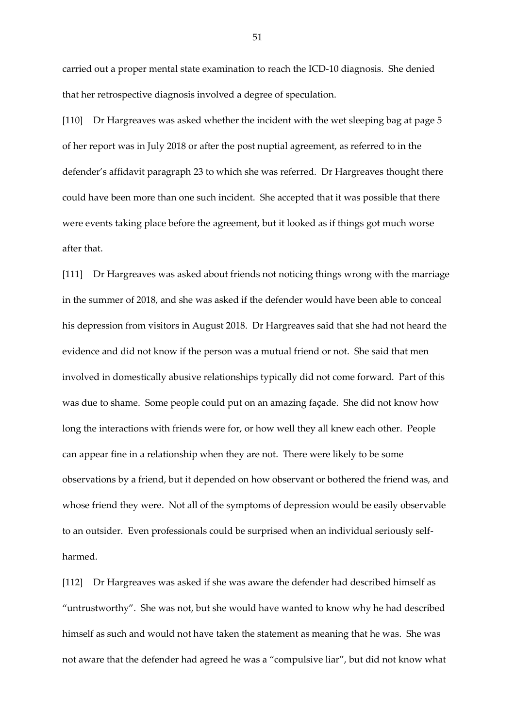carried out a proper mental state examination to reach the ICD-10 diagnosis. She denied that her retrospective diagnosis involved a degree of speculation.

[110] Dr Hargreaves was asked whether the incident with the wet sleeping bag at page 5 of her report was in July 2018 or after the post nuptial agreement, as referred to in the defender's affidavit paragraph 23 to which she was referred. Dr Hargreaves thought there could have been more than one such incident. She accepted that it was possible that there were events taking place before the agreement, but it looked as if things got much worse after that.

[111] Dr Hargreaves was asked about friends not noticing things wrong with the marriage in the summer of 2018, and she was asked if the defender would have been able to conceal his depression from visitors in August 2018. Dr Hargreaves said that she had not heard the evidence and did not know if the person was a mutual friend or not. She said that men involved in domestically abusive relationships typically did not come forward. Part of this was due to shame. Some people could put on an amazing façade. She did not know how long the interactions with friends were for, or how well they all knew each other. People can appear fine in a relationship when they are not. There were likely to be some observations by a friend, but it depended on how observant or bothered the friend was, and whose friend they were. Not all of the symptoms of depression would be easily observable to an outsider. Even professionals could be surprised when an individual seriously selfharmed.

[112] Dr Hargreaves was asked if she was aware the defender had described himself as "untrustworthy". She was not, but she would have wanted to know why he had described himself as such and would not have taken the statement as meaning that he was. She was not aware that the defender had agreed he was a "compulsive liar", but did not know what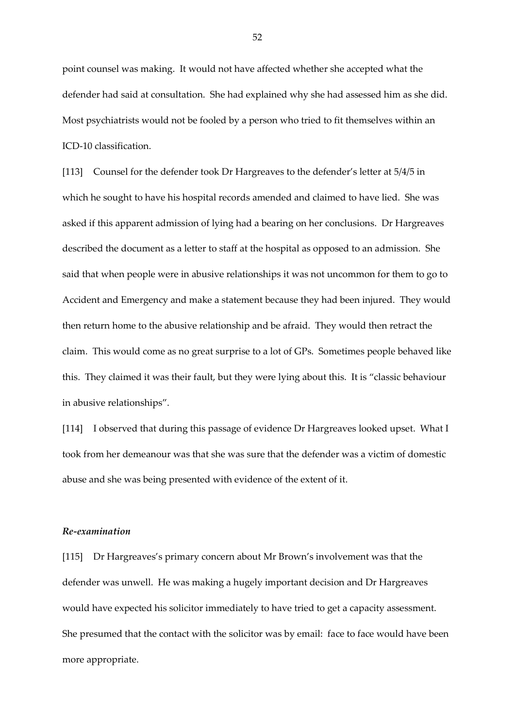point counsel was making. It would not have affected whether she accepted what the defender had said at consultation. She had explained why she had assessed him as she did. Most psychiatrists would not be fooled by a person who tried to fit themselves within an ICD-10 classification.

[113] Counsel for the defender took Dr Hargreaves to the defender's letter at 5/4/5 in which he sought to have his hospital records amended and claimed to have lied. She was asked if this apparent admission of lying had a bearing on her conclusions. Dr Hargreaves described the document as a letter to staff at the hospital as opposed to an admission. She said that when people were in abusive relationships it was not uncommon for them to go to Accident and Emergency and make a statement because they had been injured. They would then return home to the abusive relationship and be afraid. They would then retract the claim. This would come as no great surprise to a lot of GPs. Sometimes people behaved like this. They claimed it was their fault, but they were lying about this. It is "classic behaviour in abusive relationships".

[114] I observed that during this passage of evidence Dr Hargreaves looked upset. What I took from her demeanour was that she was sure that the defender was a victim of domestic abuse and she was being presented with evidence of the extent of it.

#### *Re-examination*

[115] Dr Hargreaves's primary concern about Mr Brown's involvement was that the defender was unwell. He was making a hugely important decision and Dr Hargreaves would have expected his solicitor immediately to have tried to get a capacity assessment. She presumed that the contact with the solicitor was by email: face to face would have been more appropriate.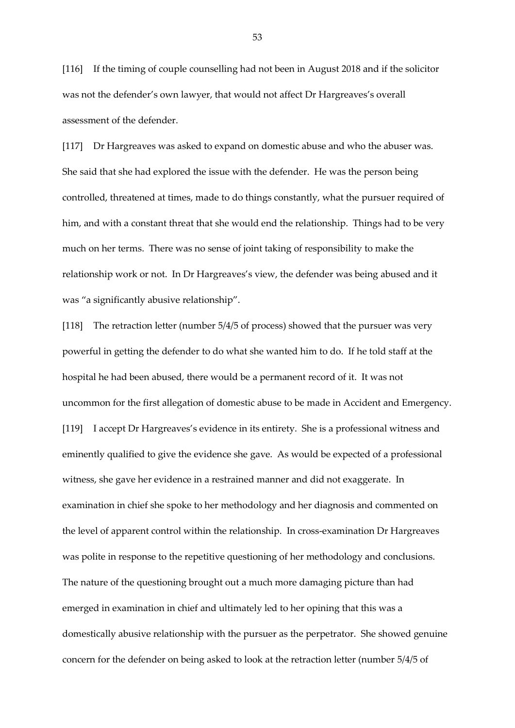[116] If the timing of couple counselling had not been in August 2018 and if the solicitor was not the defender's own lawyer, that would not affect Dr Hargreaves's overall assessment of the defender.

[117] Dr Hargreaves was asked to expand on domestic abuse and who the abuser was. She said that she had explored the issue with the defender. He was the person being controlled, threatened at times, made to do things constantly, what the pursuer required of him, and with a constant threat that she would end the relationship. Things had to be very much on her terms. There was no sense of joint taking of responsibility to make the relationship work or not. In Dr Hargreaves's view, the defender was being abused and it was "a significantly abusive relationship".

[118] The retraction letter (number 5/4/5 of process) showed that the pursuer was very powerful in getting the defender to do what she wanted him to do. If he told staff at the hospital he had been abused, there would be a permanent record of it. It was not uncommon for the first allegation of domestic abuse to be made in Accident and Emergency. [119] I accept Dr Hargreaves's evidence in its entirety. She is a professional witness and eminently qualified to give the evidence she gave. As would be expected of a professional witness, she gave her evidence in a restrained manner and did not exaggerate. In examination in chief she spoke to her methodology and her diagnosis and commented on the level of apparent control within the relationship. In cross-examination Dr Hargreaves was polite in response to the repetitive questioning of her methodology and conclusions. The nature of the questioning brought out a much more damaging picture than had emerged in examination in chief and ultimately led to her opining that this was a domestically abusive relationship with the pursuer as the perpetrator. She showed genuine concern for the defender on being asked to look at the retraction letter (number 5/4/5 of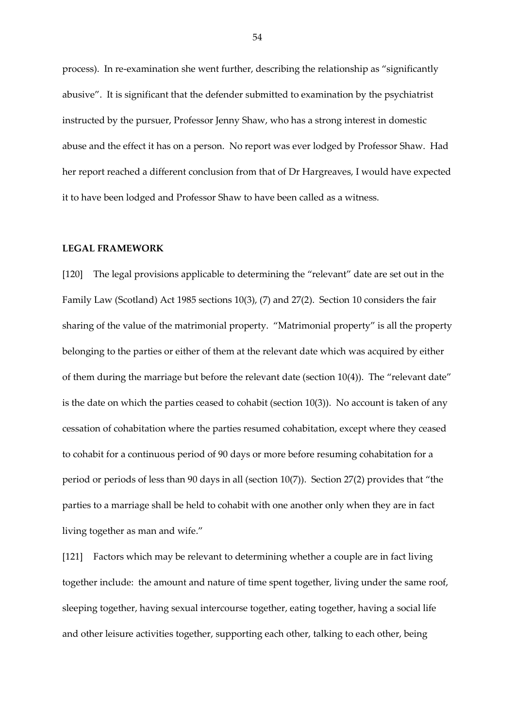process). In re-examination she went further, describing the relationship as "significantly abusive". It is significant that the defender submitted to examination by the psychiatrist instructed by the pursuer, Professor Jenny Shaw, who has a strong interest in domestic abuse and the effect it has on a person. No report was ever lodged by Professor Shaw. Had her report reached a different conclusion from that of Dr Hargreaves, I would have expected it to have been lodged and Professor Shaw to have been called as a witness.

#### **LEGAL FRAMEWORK**

[120] The legal provisions applicable to determining the "relevant" date are set out in the Family Law (Scotland) Act 1985 sections 10(3), (7) and 27(2). Section 10 considers the fair sharing of the value of the matrimonial property. "Matrimonial property" is all the property belonging to the parties or either of them at the relevant date which was acquired by either of them during the marriage but before the relevant date (section 10(4)). The "relevant date" is the date on which the parties ceased to cohabit (section 10(3)). No account is taken of any cessation of cohabitation where the parties resumed cohabitation, except where they ceased to cohabit for a continuous period of 90 days or more before resuming cohabitation for a period or periods of less than 90 days in all (section 10(7)). Section 27(2) provides that "the parties to a marriage shall be held to cohabit with one another only when they are in fact living together as man and wife."

[121] Factors which may be relevant to determining whether a couple are in fact living together include: the amount and nature of time spent together, living under the same roof, sleeping together, having sexual intercourse together, eating together, having a social life and other leisure activities together, supporting each other, talking to each other, being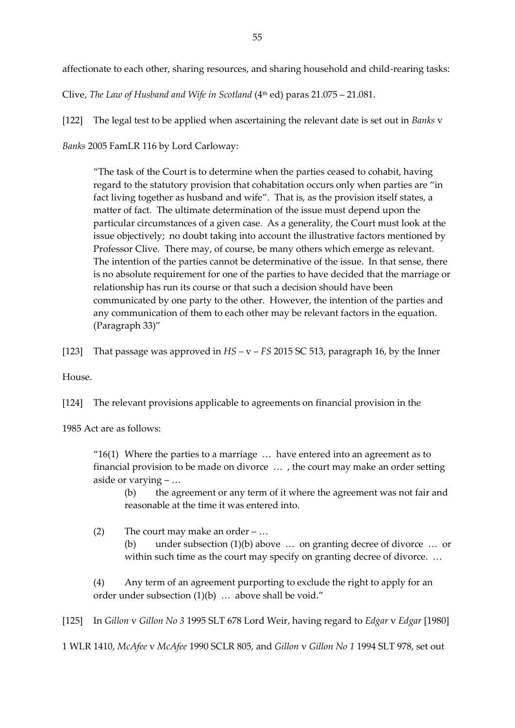affectionate to each other, sharing resources, and sharing household and child-rearing tasks:

Clive, *The Law of Husband and Wife in Scotland* (4th ed) paras 21.075 – 21.081.

[122] The legal test to be applied when ascertaining the relevant date is set out in *Banks* v *Banks* 2005 FamLR 116 by Lord Carloway:

"The task of the Court is to determine when the parties ceased to cohabit, having regard to the statutory provision that cohabitation occurs only when parties are "in fact living together as husband and wife". That is, as the provision itself states, a matter of fact. The ultimate determination of the issue must depend upon the particular circumstances of a given case. As a generality, the Court must look at the issue objectively; no doubt taking into account the illustrative factors mentioned by Professor Clive. There may, of course, be many others which emerge as relevant. The intention of the parties cannot be determinative of the issue. In that sense, there is no absolute requirement for one of the parties to have decided that the marriage or relationship has run its course or that such a decision should have been communicated by one party to the other. However, the intention of the parties and any communication of them to each other may be relevant factors in the equation. (Paragraph 33)"

[123] That passage was approved in *HS –* v *– FS* 2015 SC 513, paragraph 16, by the Inner

House.

[124] The relevant provisions applicable to agreements on financial provision in the

1985 Act are as follows:

" $16(1)$  Where the parties to a marriage  $\ldots$  have entered into an agreement as to financial provision to be made on divorce … , the court may make an order setting aside or varying – …

(b) the agreement or any term of it where the agreement was not fair and reasonable at the time it was entered into.

(2) The court may make an order – …

(b) under subsection (1)(b) above … on granting decree of divorce … or within such time as the court may specify on granting decree of divorce. ...

(4) Any term of an agreement purporting to exclude the right to apply for an order under subsection (1)(b) … above shall be void."

[125] In *Gillon* v *Gillon No 3* 1995 SLT 678 Lord Weir, having regard to *Edgar* v *Edgar* [1980]

1 WLR 1410, *McAfee* v *McAfee* 1990 SCLR 805, and *Gillon* v *Gillon No 1* 1994 SLT 978, set out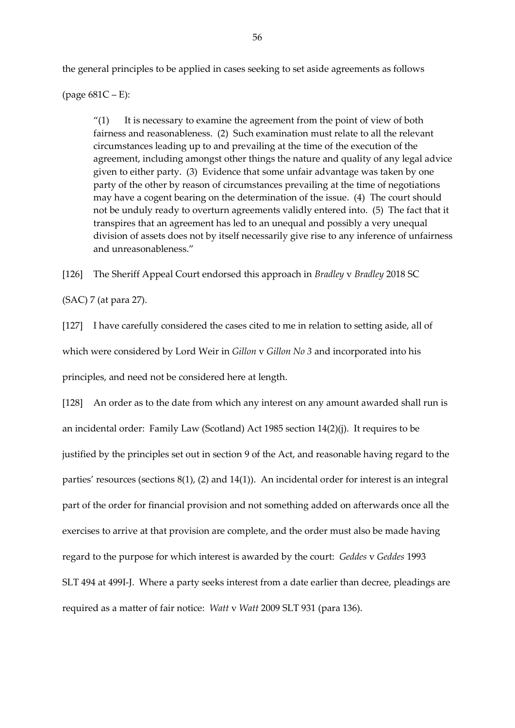the general principles to be applied in cases seeking to set aside agreements as follows

(page 681C – E):

" $(1)$  It is necessary to examine the agreement from the point of view of both fairness and reasonableness. (2) Such examination must relate to all the relevant circumstances leading up to and prevailing at the time of the execution of the agreement, including amongst other things the nature and quality of any legal advice given to either party. (3) Evidence that some unfair advantage was taken by one party of the other by reason of circumstances prevailing at the time of negotiations may have a cogent bearing on the determination of the issue. (4) The court should not be unduly ready to overturn agreements validly entered into. (5) The fact that it transpires that an agreement has led to an unequal and possibly a very unequal division of assets does not by itself necessarily give rise to any inference of unfairness and unreasonableness."

[126] The Sheriff Appeal Court endorsed this approach in *Bradley* v *Bradley* 2018 SC

(SAC) 7 (at para 27).

[127] I have carefully considered the cases cited to me in relation to setting aside, all of which were considered by Lord Weir in *Gillon* v *Gillon No 3* and incorporated into his principles, and need not be considered here at length.

[128] An order as to the date from which any interest on any amount awarded shall run is an incidental order: Family Law (Scotland) Act 1985 section 14(2)(j). It requires to be justified by the principles set out in section 9 of the Act, and reasonable having regard to the parties' resources (sections 8(1), (2) and 14(1)). An incidental order for interest is an integral part of the order for financial provision and not something added on afterwards once all the exercises to arrive at that provision are complete, and the order must also be made having regard to the purpose for which interest is awarded by the court: *Geddes* v *Geddes* 1993 SLT 494 at 499I-J. Where a party seeks interest from a date earlier than decree, pleadings are required as a matter of fair notice: *Watt* v *Watt* 2009 SLT 931 (para 136).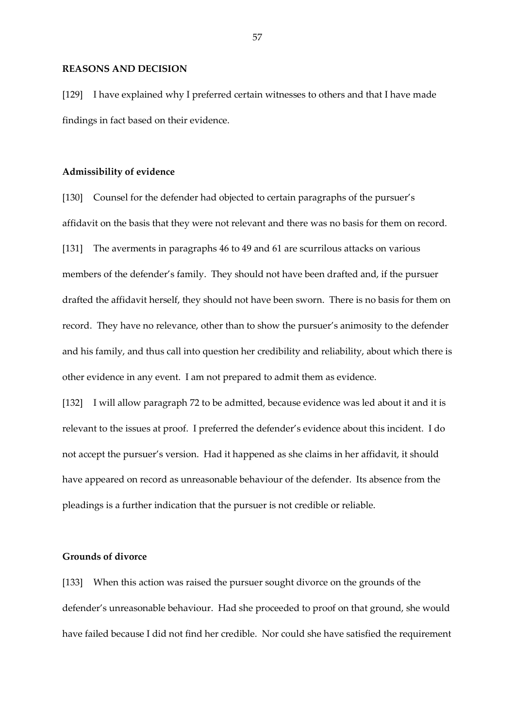#### **REASONS AND DECISION**

[129] I have explained why I preferred certain witnesses to others and that I have made findings in fact based on their evidence.

#### **Admissibility of evidence**

[130] Counsel for the defender had objected to certain paragraphs of the pursuer's affidavit on the basis that they were not relevant and there was no basis for them on record. [131] The averments in paragraphs 46 to 49 and 61 are scurrilous attacks on various members of the defender's family. They should not have been drafted and, if the pursuer drafted the affidavit herself, they should not have been sworn. There is no basis for them on record. They have no relevance, other than to show the pursuer's animosity to the defender and his family, and thus call into question her credibility and reliability, about which there is other evidence in any event. I am not prepared to admit them as evidence.

[132] I will allow paragraph 72 to be admitted, because evidence was led about it and it is relevant to the issues at proof. I preferred the defender's evidence about this incident. I do not accept the pursuer's version. Had it happened as she claims in her affidavit, it should have appeared on record as unreasonable behaviour of the defender. Its absence from the pleadings is a further indication that the pursuer is not credible or reliable.

## **Grounds of divorce**

[133] When this action was raised the pursuer sought divorce on the grounds of the defender's unreasonable behaviour. Had she proceeded to proof on that ground, she would have failed because I did not find her credible. Nor could she have satisfied the requirement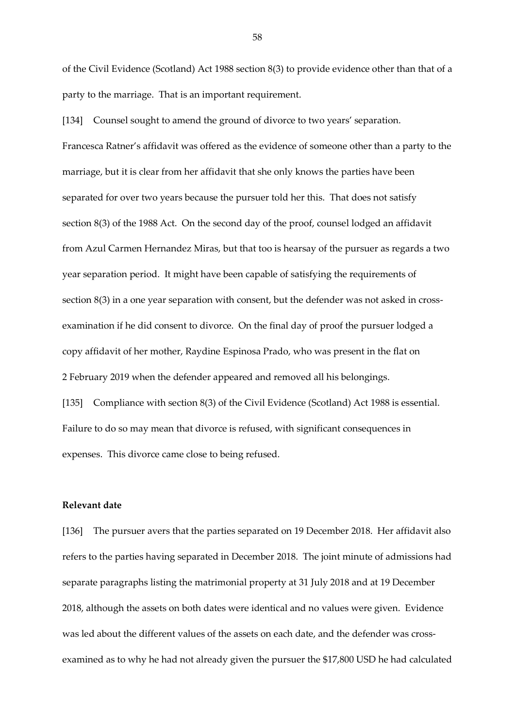of the Civil Evidence (Scotland) Act 1988 section 8(3) to provide evidence other than that of a party to the marriage. That is an important requirement.

[134] Counsel sought to amend the ground of divorce to two years' separation. Francesca Ratner's affidavit was offered as the evidence of someone other than a party to the marriage, but it is clear from her affidavit that she only knows the parties have been separated for over two years because the pursuer told her this. That does not satisfy section 8(3) of the 1988 Act. On the second day of the proof, counsel lodged an affidavit from Azul Carmen Hernandez Miras, but that too is hearsay of the pursuer as regards a two year separation period. It might have been capable of satisfying the requirements of section 8(3) in a one year separation with consent, but the defender was not asked in crossexamination if he did consent to divorce. On the final day of proof the pursuer lodged a copy affidavit of her mother, Raydine Espinosa Prado, who was present in the flat on 2 February 2019 when the defender appeared and removed all his belongings. [135] Compliance with section 8(3) of the Civil Evidence (Scotland) Act 1988 is essential. Failure to do so may mean that divorce is refused, with significant consequences in expenses. This divorce came close to being refused.

# **Relevant date**

[136] The pursuer avers that the parties separated on 19 December 2018. Her affidavit also refers to the parties having separated in December 2018. The joint minute of admissions had separate paragraphs listing the matrimonial property at 31 July 2018 and at 19 December 2018, although the assets on both dates were identical and no values were given. Evidence was led about the different values of the assets on each date, and the defender was crossexamined as to why he had not already given the pursuer the \$17,800 USD he had calculated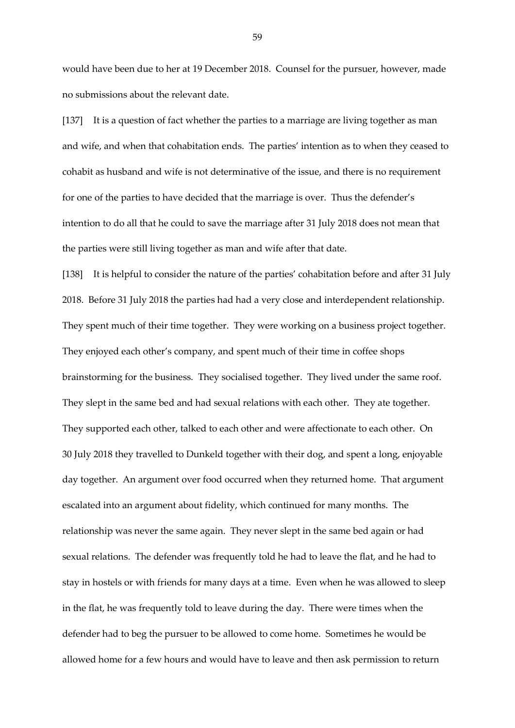would have been due to her at 19 December 2018. Counsel for the pursuer, however, made no submissions about the relevant date.

[137] It is a question of fact whether the parties to a marriage are living together as man and wife, and when that cohabitation ends. The parties' intention as to when they ceased to cohabit as husband and wife is not determinative of the issue, and there is no requirement for one of the parties to have decided that the marriage is over. Thus the defender's intention to do all that he could to save the marriage after 31 July 2018 does not mean that the parties were still living together as man and wife after that date.

[138] It is helpful to consider the nature of the parties' cohabitation before and after 31 July 2018. Before 31 July 2018 the parties had had a very close and interdependent relationship. They spent much of their time together. They were working on a business project together. They enjoyed each other's company, and spent much of their time in coffee shops brainstorming for the business. They socialised together. They lived under the same roof. They slept in the same bed and had sexual relations with each other. They ate together. They supported each other, talked to each other and were affectionate to each other. On 30 July 2018 they travelled to Dunkeld together with their dog, and spent a long, enjoyable day together. An argument over food occurred when they returned home. That argument escalated into an argument about fidelity, which continued for many months. The relationship was never the same again. They never slept in the same bed again or had sexual relations. The defender was frequently told he had to leave the flat, and he had to stay in hostels or with friends for many days at a time. Even when he was allowed to sleep in the flat, he was frequently told to leave during the day. There were times when the defender had to beg the pursuer to be allowed to come home. Sometimes he would be allowed home for a few hours and would have to leave and then ask permission to return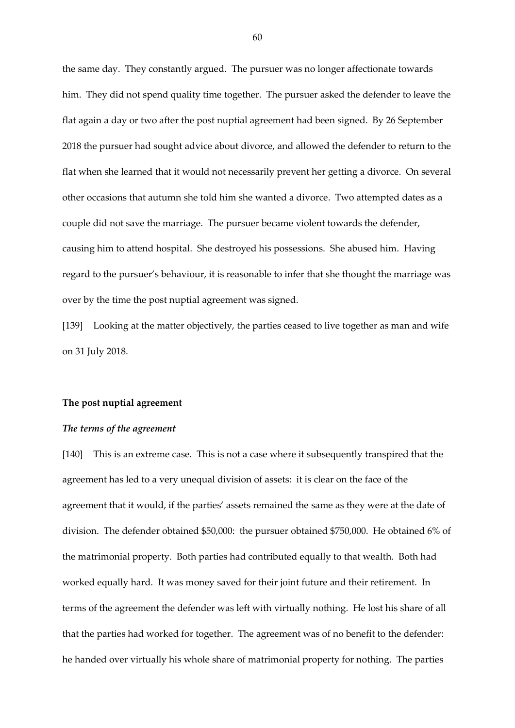the same day. They constantly argued. The pursuer was no longer affectionate towards him. They did not spend quality time together. The pursuer asked the defender to leave the flat again a day or two after the post nuptial agreement had been signed. By 26 September 2018 the pursuer had sought advice about divorce, and allowed the defender to return to the flat when she learned that it would not necessarily prevent her getting a divorce. On several other occasions that autumn she told him she wanted a divorce. Two attempted dates as a couple did not save the marriage. The pursuer became violent towards the defender, causing him to attend hospital. She destroyed his possessions. She abused him. Having regard to the pursuer's behaviour, it is reasonable to infer that she thought the marriage was over by the time the post nuptial agreement was signed.

[139] Looking at the matter objectively, the parties ceased to live together as man and wife on 31 July 2018.

#### **The post nuptial agreement**

#### *The terms of the agreement*

[140] This is an extreme case. This is not a case where it subsequently transpired that the agreement has led to a very unequal division of assets: it is clear on the face of the agreement that it would, if the parties' assets remained the same as they were at the date of division. The defender obtained \$50,000: the pursuer obtained \$750,000. He obtained 6% of the matrimonial property. Both parties had contributed equally to that wealth. Both had worked equally hard. It was money saved for their joint future and their retirement. In terms of the agreement the defender was left with virtually nothing. He lost his share of all that the parties had worked for together. The agreement was of no benefit to the defender: he handed over virtually his whole share of matrimonial property for nothing. The parties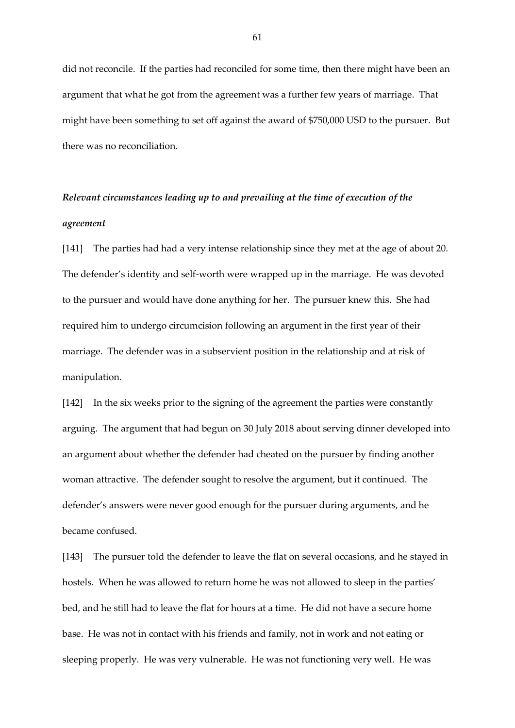did not reconcile. If the parties had reconciled for some time, then there might have been an argument that what he got from the agreement was a further few years of marriage. That might have been something to set off against the award of \$750,000 USD to the pursuer. But there was no reconciliation.

# *Relevant circumstances leading up to and prevailing at the time of execution of the agreement*

[141] The parties had had a very intense relationship since they met at the age of about 20. The defender's identity and self-worth were wrapped up in the marriage. He was devoted to the pursuer and would have done anything for her. The pursuer knew this. She had required him to undergo circumcision following an argument in the first year of their marriage. The defender was in a subservient position in the relationship and at risk of manipulation.

[142] In the six weeks prior to the signing of the agreement the parties were constantly arguing. The argument that had begun on 30 July 2018 about serving dinner developed into an argument about whether the defender had cheated on the pursuer by finding another woman attractive. The defender sought to resolve the argument, but it continued. The defender's answers were never good enough for the pursuer during arguments, and he became confused.

[143] The pursuer told the defender to leave the flat on several occasions, and he stayed in hostels. When he was allowed to return home he was not allowed to sleep in the parties' bed, and he still had to leave the flat for hours at a time. He did not have a secure home base. He was not in contact with his friends and family, not in work and not eating or sleeping properly. He was very vulnerable. He was not functioning very well. He was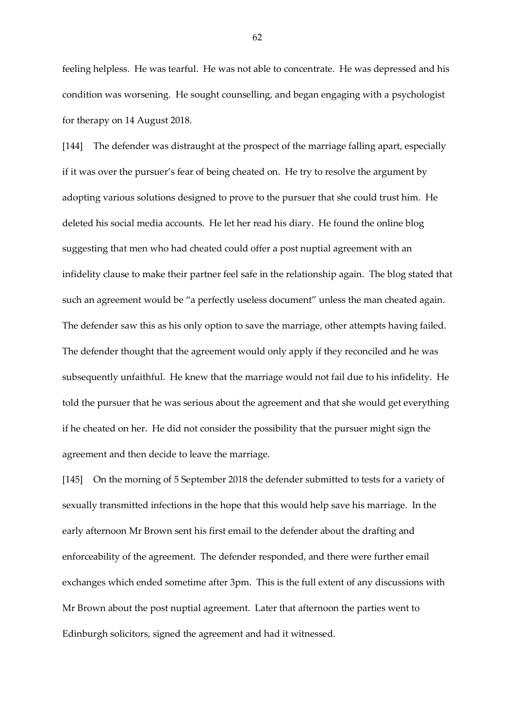feeling helpless. He was tearful. He was not able to concentrate. He was depressed and his condition was worsening. He sought counselling, and began engaging with a psychologist for therapy on 14 August 2018.

[144] The defender was distraught at the prospect of the marriage falling apart, especially if it was over the pursuer's fear of being cheated on. He try to resolve the argument by adopting various solutions designed to prove to the pursuer that she could trust him. He deleted his social media accounts. He let her read his diary. He found the online blog suggesting that men who had cheated could offer a post nuptial agreement with an infidelity clause to make their partner feel safe in the relationship again. The blog stated that such an agreement would be "a perfectly useless document" unless the man cheated again. The defender saw this as his only option to save the marriage, other attempts having failed. The defender thought that the agreement would only apply if they reconciled and he was subsequently unfaithful. He knew that the marriage would not fail due to his infidelity. He told the pursuer that he was serious about the agreement and that she would get everything if he cheated on her. He did not consider the possibility that the pursuer might sign the agreement and then decide to leave the marriage.

[145] On the morning of 5 September 2018 the defender submitted to tests for a variety of sexually transmitted infections in the hope that this would help save his marriage. In the early afternoon Mr Brown sent his first email to the defender about the drafting and enforceability of the agreement. The defender responded, and there were further email exchanges which ended sometime after 3pm. This is the full extent of any discussions with Mr Brown about the post nuptial agreement. Later that afternoon the parties went to Edinburgh solicitors, signed the agreement and had it witnessed.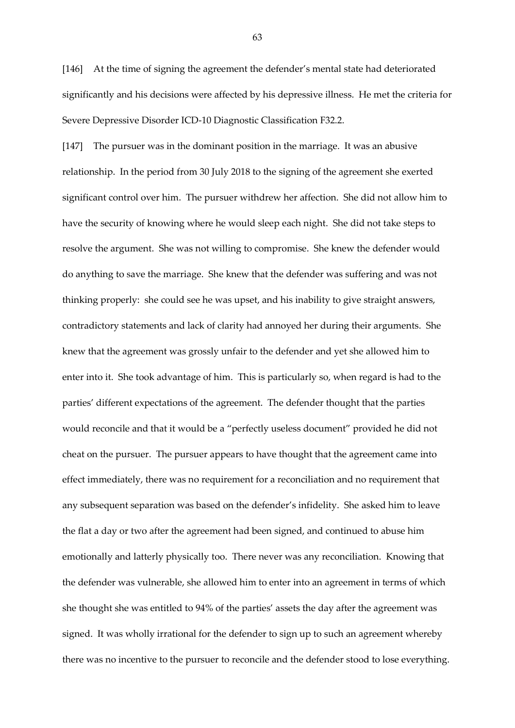[146] At the time of signing the agreement the defender's mental state had deteriorated significantly and his decisions were affected by his depressive illness. He met the criteria for Severe Depressive Disorder ICD-10 Diagnostic Classification F32.2.

[147] The pursuer was in the dominant position in the marriage. It was an abusive relationship. In the period from 30 July 2018 to the signing of the agreement she exerted significant control over him. The pursuer withdrew her affection. She did not allow him to have the security of knowing where he would sleep each night. She did not take steps to resolve the argument. She was not willing to compromise. She knew the defender would do anything to save the marriage. She knew that the defender was suffering and was not thinking properly: she could see he was upset, and his inability to give straight answers, contradictory statements and lack of clarity had annoyed her during their arguments. She knew that the agreement was grossly unfair to the defender and yet she allowed him to enter into it. She took advantage of him. This is particularly so, when regard is had to the parties' different expectations of the agreement. The defender thought that the parties would reconcile and that it would be a "perfectly useless document" provided he did not cheat on the pursuer. The pursuer appears to have thought that the agreement came into effect immediately, there was no requirement for a reconciliation and no requirement that any subsequent separation was based on the defender's infidelity. She asked him to leave the flat a day or two after the agreement had been signed, and continued to abuse him emotionally and latterly physically too. There never was any reconciliation. Knowing that the defender was vulnerable, she allowed him to enter into an agreement in terms of which she thought she was entitled to 94% of the parties' assets the day after the agreement was signed. It was wholly irrational for the defender to sign up to such an agreement whereby there was no incentive to the pursuer to reconcile and the defender stood to lose everything.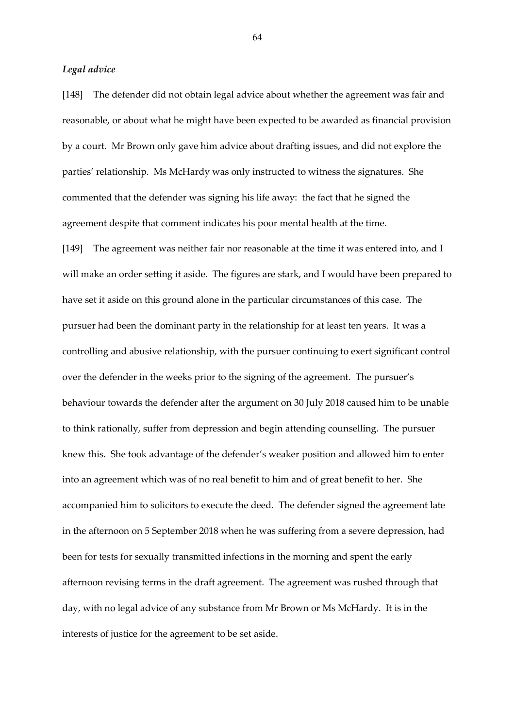#### *Legal advice*

[148] The defender did not obtain legal advice about whether the agreement was fair and reasonable, or about what he might have been expected to be awarded as financial provision by a court. Mr Brown only gave him advice about drafting issues, and did not explore the parties' relationship. Ms McHardy was only instructed to witness the signatures. She commented that the defender was signing his life away: the fact that he signed the agreement despite that comment indicates his poor mental health at the time.

[149] The agreement was neither fair nor reasonable at the time it was entered into, and I will make an order setting it aside. The figures are stark, and I would have been prepared to have set it aside on this ground alone in the particular circumstances of this case. The pursuer had been the dominant party in the relationship for at least ten years. It was a controlling and abusive relationship, with the pursuer continuing to exert significant control over the defender in the weeks prior to the signing of the agreement. The pursuer's behaviour towards the defender after the argument on 30 July 2018 caused him to be unable to think rationally, suffer from depression and begin attending counselling. The pursuer knew this. She took advantage of the defender's weaker position and allowed him to enter into an agreement which was of no real benefit to him and of great benefit to her. She accompanied him to solicitors to execute the deed. The defender signed the agreement late in the afternoon on 5 September 2018 when he was suffering from a severe depression, had been for tests for sexually transmitted infections in the morning and spent the early afternoon revising terms in the draft agreement. The agreement was rushed through that day, with no legal advice of any substance from Mr Brown or Ms McHardy. It is in the interests of justice for the agreement to be set aside.